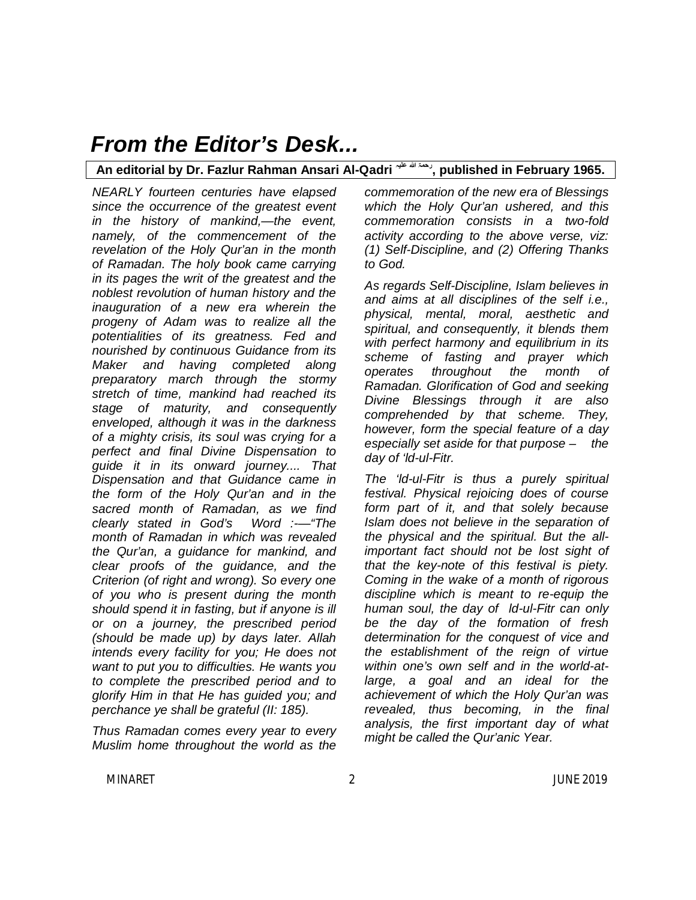**An editorial by Dr. Fazlur Rahman Ansari Al-Qadri علیہ الله رحمۃ , published in February 1965.**

*NEARLY fourteen centuries have elapsed since the occurrence of the greatest event in the history of mankind,—the event, namely, of the commencement of the revelation of the Holy Qur'an in the month of Ramadan. The holy book came carrying in its pages the writ of the greatest and the noblest revolution of human history and the inauguration of a new era wherein the progeny of Adam was to realize all the potentialities of its greatness. Fed and nourished by continuous Guidance from its Maker and having completed along preparatory march through the stormy stretch of time, mankind had reached its stage of maturity, and consequently enveloped, although it was in the darkness of a mighty crisis, its soul was crying for a perfect and final Divine Dispensation to guide it in its onward journey.... That Dispensation and that Guidance came in the form of the Holy Qur'an and in the sacred month of Ramadan, as we find clearly stated in God's Word :-—"The month of Ramadan in which was revealed the Qur'an, a guidance for mankind, and clear proofs of the guidance, and the Criterion (of right and wrong). So every one of you who is present during the month should spend it in fasting, but if anyone is ill or on a journey, the prescribed period (should be made up) by days later. Allah intends every facility for you; He does not want to put you to difficulties. He wants you to complete the prescribed period and to glorify Him in that He has guided you; and perchance ye shall be grateful (II: 185).*

*Thus Ramadan comes every year to every Muslim home throughout the world as the* 

*commemoration of the new era of Blessings which the Holy Qur'an ushered, and this commemoration consists in a two-fold activity according to the above verse, viz: (1) Self-Discipline, and (2) Offering Thanks to God.*

*As regards Self-Discipline, Islam believes in and aims at all disciplines of the self i.e., physical, mental, moral, aesthetic and spiritual, and consequently, it blends them with perfect harmony and equilibrium in its scheme of fasting and prayer which operates throughout the month of Ramadan. Glorification of God and seeking Divine Blessings through it are also comprehended by that scheme. They, however, form the special feature of a day especially set aside for that purpose – the day of 'ld-ul-Fitr.* 

*The 'ld-ul-Fitr is thus a purely spiritual festival. Physical rejoicing does of course form part of it, and that solely because Islam does not believe in the separation of the physical and the spiritual. But the allimportant fact should not be lost sight of that the key-note of this festival is piety. Coming in the wake of a month of rigorous discipline which is meant to re-equip the human soul, the day of ld-ul-Fitr can only be the day of the formation of fresh determination for the conquest of vice and the establishment of the reign of virtue within one's own self and in the world-atlarge, a goal and an ideal for the achievement of which the Holy Qur'an was revealed, thus becoming, in the final analysis, the first important day of what might be called the Qur'anic Year.*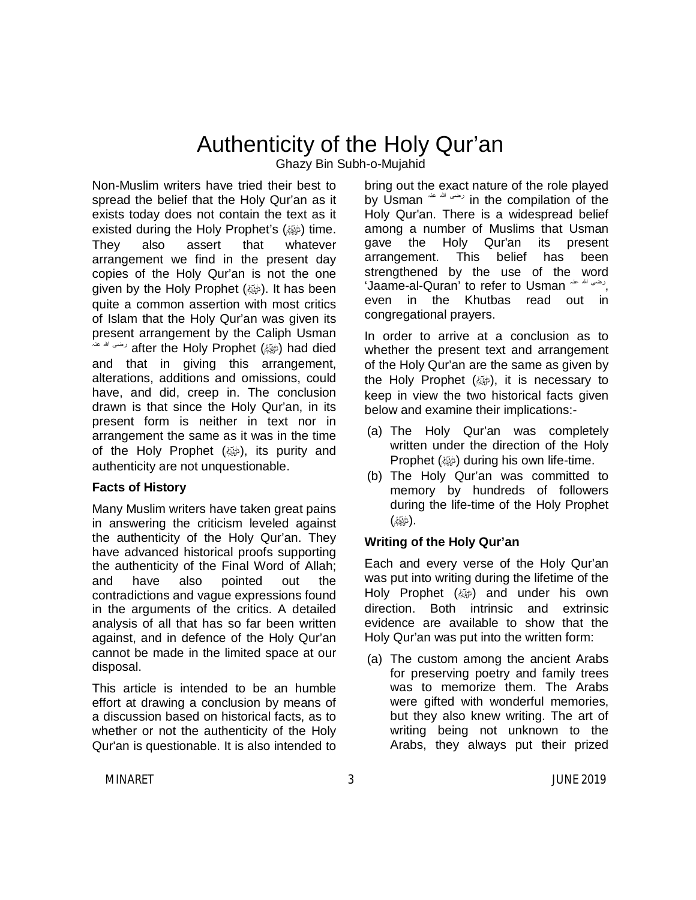## Authenticity of the Holy Qur'an

Ghazy Bin Subh-o-Mujahid

Non-Muslim writers have tried their best to spread the belief that the Holy Qur'an as it exists today does not contain the text as it existed during the Holy Prophet's (@) time. They also assert that whatever arrangement we find in the present day copies of the Holy Qur'an is not the one given by the Holy Prophet (ﷺ). It has been quite a common assertion with most critics of Islam that the Holy Qur'an was given its present arrangement by the Caliph Usman عنہ الله رضی after the Holy Prophet (صلى الله عليه وسلم (had died and that in giving this arrangement, alterations, additions and omissions, could have, and did, creep in. The conclusion drawn is that since the Holy Qur'an, in its present form is neither in text nor in arrangement the same as it was in the time of the Holy Prophet  $(\omega\hat{\omega})$ , its purity and authenticity are not unquestionable.

#### **Facts of History**

Many Muslim writers have taken great pains in answering the criticism leveled against the authenticity of the Holy Qur'an. They have advanced historical proofs supporting the authenticity of the Final Word of Allah; and have also pointed out the contradictions and vague expressions found in the arguments of the critics. A detailed analysis of all that has so far been written against, and in defence of the Holy Qur'an cannot be made in the limited space at our disposal.

This article is intended to be an humble effort at drawing a conclusion by means of a discussion based on historical facts, as to whether or not the authenticity of the Holy Qur'an is questionable. It is also intended to

bring out the exact nature of the role played by Usman  $\mathbb{R}^m$  in the compilation of the Holy Qur'an. There is a widespread belief among a number of Muslims that Usman gave the Holy Qur'an its present arrangement. This belief has been strengthened by the use of the word 'Jaame-al-Quran' to refer to Usman عنہ الله رضی , even in the Khutbas read out in congregational prayers.

In order to arrive at a conclusion as to whether the present text and arrangement of the Holy Qur'an are the same as given by the Holy Prophet  $(\omega)$ , it is necessary to keep in view the two historical facts given below and examine their implications:-

- (a) The Holy Qur'an was completely written under the direction of the Holy **Prophet (** $\omega$ **) during his own life-time.**
- (b) The Holy Qur'an was committed to memory by hundreds of followers during the life-time of the Holy Prophet .(صلى الله عليه وسلم)

#### **Writing of the Holy Qur'an**

Each and every verse of the Holy Qur'an was put into writing during the lifetime of the Holy Prophet (@) and under his own direction. Both intrinsic and extrinsic evidence are available to show that the Holy Qur'an was put into the written form:

(a) The custom among the ancient Arabs for preserving poetry and family trees was to memorize them. The Arabs were gifted with wonderful memories, but they also knew writing. The art of writing being not unknown to the Arabs, they always put their prized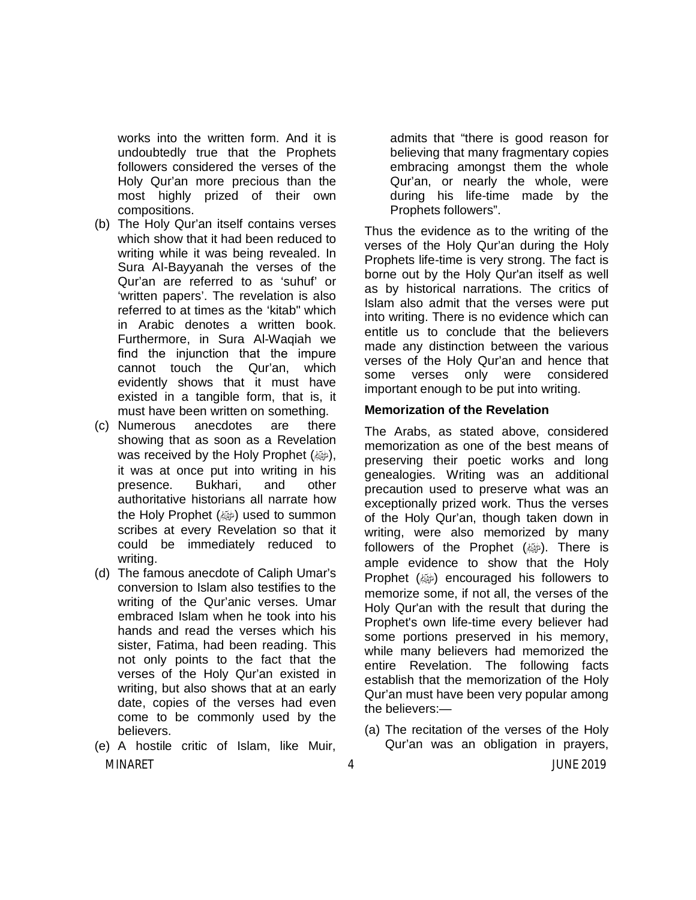works into the written form. And it is undoubtedly true that the Prophets followers considered the verses of the Holy Qur'an more precious than the most highly prized of their own compositions.

- (b) The Holy Qur'an itself contains verses which show that it had been reduced to writing while it was being revealed. In Sura AI-Bayyanah the verses of the Qur'an are referred to as 'suhuf' or 'written papers'. The revelation is also referred to at times as the 'kitab" which in Arabic denotes a written book. Furthermore, in Sura Al-Waqiah we find the injunction that the impure cannot touch the Qur'an, which evidently shows that it must have existed in a tangible form, that is, it must have been written on something.
- (c) Numerous anecdotes are there showing that as soon as a Revelation was received by the Holy Prophet (صلى الله عليه الله عليه وسلم عليه وسلم الله عليه وسلم الله عليه وس it was at once put into writing in his presence. Bukhari, and other authoritative historians all narrate how the Holy Prophet (@) used to summon scribes at every Revelation so that it could be immediately reduced to writing.
- (d) The famous anecdote of Caliph Umar's conversion to Islam also testifies to the writing of the Qur'anic verses. Umar embraced Islam when he took into his hands and read the verses which his sister, Fatima, had been reading. This not only points to the fact that the verses of the Holy Qur'an existed in writing, but also shows that at an early date, copies of the verses had even come to be commonly used by the believers.
- MINARET 4 JUNE 2019 (e) A hostile critic of Islam, like Muir,

admits that "there is good reason for believing that many fragmentary copies embracing amongst them the whole Qur'an, or nearly the whole, were during his life-time made by the Prophets followers".

Thus the evidence as to the writing of the verses of the Holy Qur'an during the Holy Prophets life-time is very strong. The fact is borne out by the Holy Qur'an itself as well as by historical narrations. The critics of Islam also admit that the verses were put into writing. There is no evidence which can entitle us to conclude that the believers made any distinction between the various verses of the Holy Qur'an and hence that some verses only were considered important enough to be put into writing.

#### **Memorization of the Revelation**

The Arabs, as stated above, considered memorization as one of the best means of preserving their poetic works and long genealogies. Writing was an additional precaution used to preserve what was an exceptionally prized work. Thus the verses of the Holy Qur'an, though taken down in writing, were also memorized by many followers of the Prophet  $(\omega)$ . There is ample evidence to show that the Holy Prophet (ﷺ) encouraged his followers to memorize some, if not all, the verses of the Holy Qur'an with the result that during the Prophet's own life-time every believer had some portions preserved in his memory, while many believers had memorized the entire Revelation. The following facts establish that the memorization of the Holy Qur'an must have been very popular among the believers:—

(a) The recitation of the verses of the Holy Qur'an was an obligation in prayers,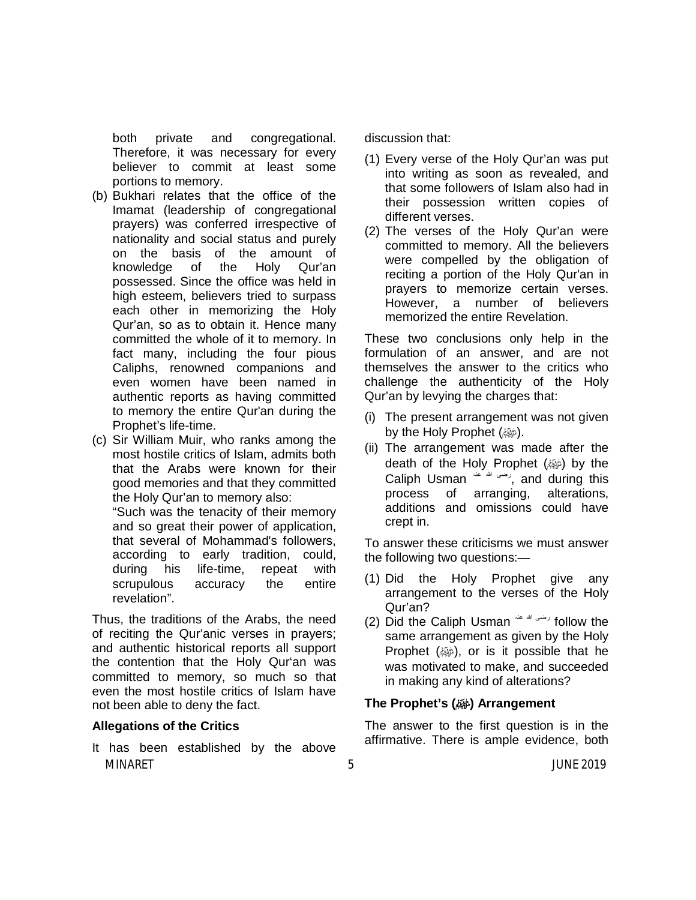both private and congregational. Therefore, it was necessary for every believer to commit at least some portions to memory.

- (b) Bukhari relates that the office of the Imamat (leadership of congregational prayers) was conferred irrespective of nationality and social status and purely on the basis of the amount of knowledge of the Holy Qur'an possessed. Since the office was held in high esteem, believers tried to surpass each other in memorizing the Holy Qur'an, so as to obtain it. Hence many committed the whole of it to memory. In fact many, including the four pious Caliphs, renowned companions and even women have been named in authentic reports as having committed to memory the entire Qur'an during the Prophet's life-time.
- (c) Sir William Muir, who ranks among the most hostile critics of Islam, admits both that the Arabs were known for their good memories and that they committed the Holy Qur'an to memory also:

"Such was the tenacity of their memory and so great their power of application, that several of Mohammad's followers, according to early tradition, could, during his life-time, repeat with scrupulous accuracy the entire revelation".

Thus, the traditions of the Arabs, the need of reciting the Qur'anic verses in prayers; and authentic historical reports all support the contention that the Holy Qur'an was committed to memory, so much so that even the most hostile critics of Islam have not been able to deny the fact.

#### **Allegations of the Critics**

MINARET 5 JUNE 2019 It has been established by the above

discussion that:

- (1) Every verse of the Holy Qur'an was put into writing as soon as revealed, and that some followers of Islam also had in their possession written copies of different verses.
- (2) The verses of the Holy Qur'an were committed to memory. All the believers were compelled by the obligation of reciting a portion of the Holy Qur'an in prayers to memorize certain verses. However, a number of believers memorized the entire Revelation.

These two conclusions only help in the formulation of an answer, and are not themselves the answer to the critics who challenge the authenticity of the Holy Qur'an by levying the charges that:

- (i) The present arrangement was not given by the Holy Prophet (ﷺ).
- (ii) The arrangement was made after the death of the Holy Prophet (@) by the Caliph Usman  $\sim$   $\mu$ , and during this process of arranging, alterations, additions and omissions could have crept in.

To answer these criticisms we must answer the following two questions:—

- (1) Did the Holy Prophet give any arrangement to the verses of the Holy Qur'an?
- (2) Did the Caliph Usman  $\frac{1}{2}$  oblow the same arrangement as given by the Holy Prophet  $(\omega)$ , or is it possible that he was motivated to make, and succeeded in making any kind of alterations?

#### **The Prophet's (@) Arrangement**

The answer to the first question is in the affirmative. There is ample evidence, both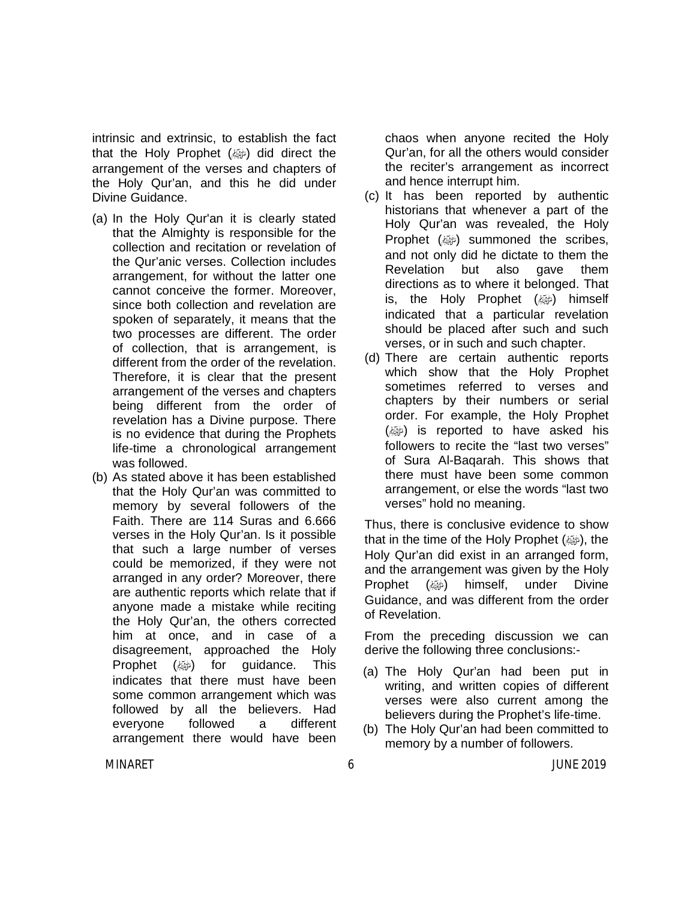intrinsic and extrinsic, to establish the fact that the Holy Prophet (ﷺ) did direct the arrangement of the verses and chapters of the Holy Qur'an, and this he did under Divine Guidance.

- (a) In the Holy Qur'an it is clearly stated that the Almighty is responsible for the collection and recitation or revelation of the Qur'anic verses. Collection includes arrangement, for without the latter one cannot conceive the former. Moreover, since both collection and revelation are spoken of separately, it means that the two processes are different. The order of collection, that is arrangement, is different from the order of the revelation. Therefore, it is clear that the present arrangement of the verses and chapters being different from the order of revelation has a Divine purpose. There is no evidence that during the Prophets life-time a chronological arrangement was followed.
- (b) As stated above it has been established that the Holy Qur'an was committed to memory by several followers of the Faith. There are 114 Suras and 6.666 verses in the Holy Qur'an. Is it possible that such a large number of verses could be memorized, if they were not arranged in any order? Moreover, there are authentic reports which relate that if anyone made a mistake while reciting the Holy Qur'an, the others corrected him at once, and in case of a disagreement, approached the Holy **Prophet (@) for quidance. This** indicates that there must have been some common arrangement which was followed by all the believers. Had everyone followed a different arrangement there would have been

chaos when anyone recited the Holy Qur'an, for all the others would consider the reciter's arrangement as incorrect and hence interrupt him.

- (c) It has been reported by authentic historians that whenever a part of the Holy Qur'an was revealed, the Holy Prophet (ﷺ) summoned the scribes, and not only did he dictate to them the Revelation but also gave them directions as to where it belonged. That is, the Holy Prophet (@) himself indicated that a particular revelation should be placed after such and such verses, or in such and such chapter.
- (d) There are certain authentic reports which show that the Holy Prophet sometimes referred to verses and chapters by their numbers or serial order. For example, the Holy Prophet  $(\omega)$  is reported to have asked his followers to recite the "last two verses" of Sura Al-Baqarah. This shows that there must have been some common arrangement, or else the words "last two verses" hold no meaning.

Thus, there is conclusive evidence to show that in the time of the Holy Prophet  $(\omega)$ , the Holy Qur'an did exist in an arranged form, and the arrangement was given by the Holy **Prophet** (رضيه himself, under Divine Guidance, and was different from the order of Revelation.

From the preceding discussion we can derive the following three conclusions:-

- (a) The Holy Qur'an had been put in writing, and written copies of different verses were also current among the believers during the Prophet's life-time.
- (b) The Holy Qur'an had been committed to memory by a number of followers.

MINARET 6 JUNE 2019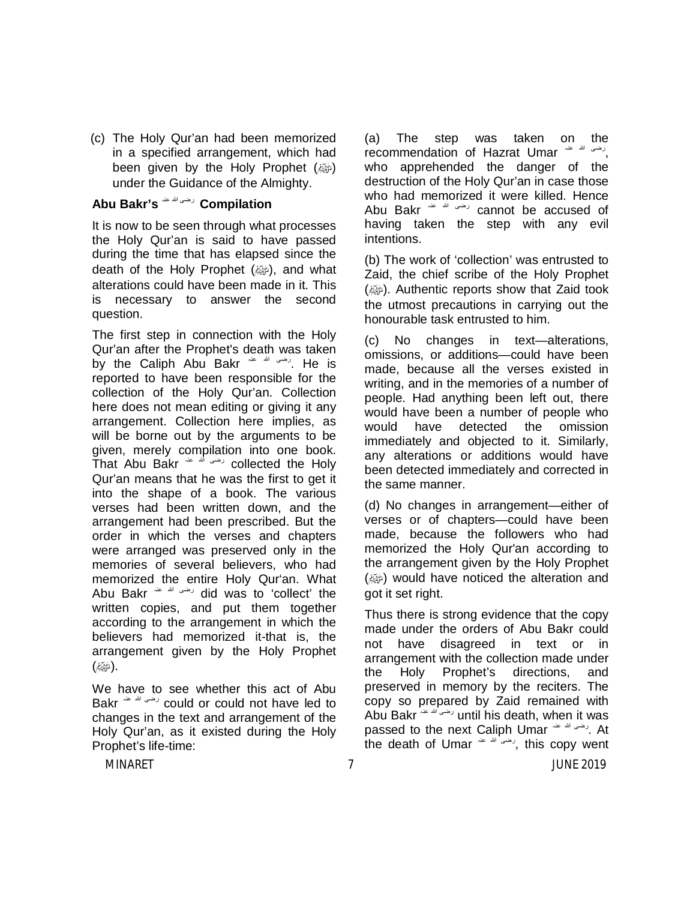(c) The Holy Qur'an had been memorized in a specified arrangement, which had been given by the Holy Prophet (ﷺ) under the Guidance of the Almighty.

### **Abu Bakr's** عنہ الله رضی **Compilation**

It is now to be seen through what processes the Holy Qur'an is said to have passed during the time that has elapsed since the death of the Holy Prophet (ﷺ), and what alterations could have been made in it. This is necessary to answer the second question.

The first step in connection with the Holy Qur'an after the Prophet's death was taken by the Caliph Abu Bakr عنہ الله رضی. He is reported to have been responsible for the collection of the Holy Qur'an. Collection here does not mean editing or giving it any arrangement. Collection here implies, as will be borne out by the arguments to be given, merely compilation into one book. That Abu Bakr عنہ الله رضی collected the Holy Qur'an means that he was the first to get it into the shape of a book. The various verses had been written down, and the arrangement had been prescribed. But the order in which the verses and chapters were arranged was preserved only in the memories of several believers, who had memorized the entire Holy Qur'an. What Abu Bakr عنہ الله رضی did was to 'collect' the written copies, and put them together according to the arrangement in which the believers had memorized it-that is, the arrangement given by the Holy Prophet . (مليكية كم)

We have to see whether this act of Abu Bakr عنہ الله رضی could or could not have led to changes in the text and arrangement of the Holy Qur'an, as it existed during the Holy Prophet's life-time:

(a) The step was taken on the recommendation of Hazrat Umar <sup>عنہ عن</sup>ہ , who apprehended the danger of the destruction of the Holy Qur'an in case those who had memorized it were killed. Hence Abu Bakr عنہ الله رضی cannot be accused of having taken the step with any evil intentions.

(b) The work of 'collection' was entrusted to Zaid, the chief scribe of the Holy Prophet (@). Authentic reports show that Zaid took the utmost precautions in carrying out the honourable task entrusted to him.

(c) No changes in text—alterations, omissions, or additions—could have been made, because all the verses existed in writing, and in the memories of a number of people. Had anything been left out, there would have been a number of people who would have detected the omission immediately and objected to it. Similarly, any alterations or additions would have been detected immediately and corrected in the same manner.

(d) No changes in arrangement—either of verses or of chapters—could have been made, because the followers who had memorized the Holy Qur'an according to the arrangement given by the Holy Prophet (ﷺ) would have noticed the alteration and got it set right.

Thus there is strong evidence that the copy made under the orders of Abu Bakr could not have disagreed in text or in arrangement with the collection made under the Holy Prophet's directions, and preserved in memory by the reciters. The copy so prepared by Zaid remained with Abu Bakr عنہ الله رضی until his death, when it was passed to the next Caliph Umar عنہ الله رضی . At the death of Umar عنہ الله رضی, this copy went

MINARET 7 JUNE 2019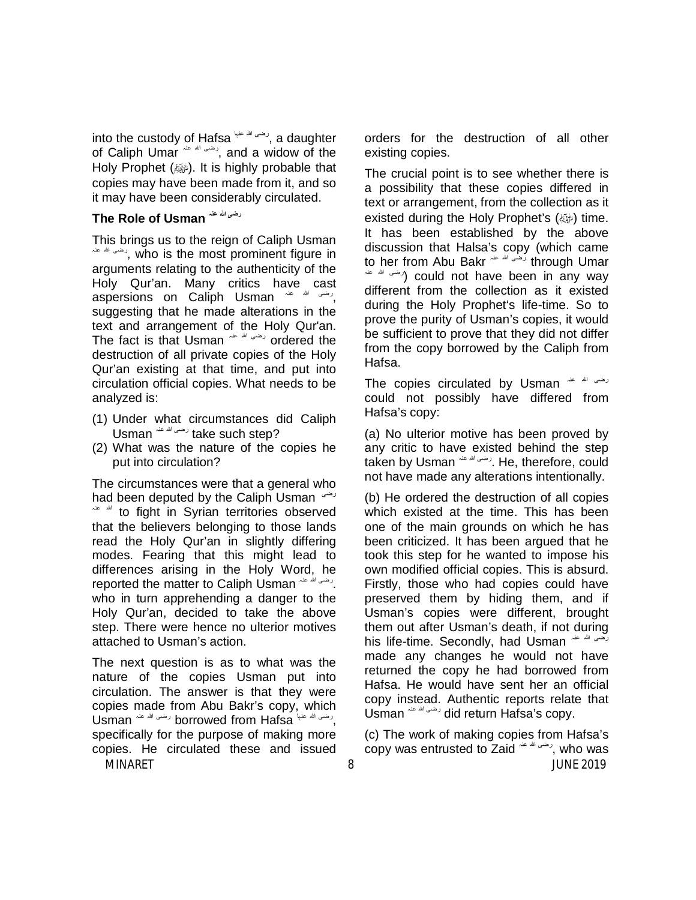into the custody of Hafsa عنہا الله رضی, a daughter of Caliph Umar  $\overset{def}{\longrightarrow}$  and a widow of the Holy Prophet (<a>j>, It is highly probable that copies may have been made from it, and so it may have been considerably circulated.

#### **The Role of Usman عنہ الله رضی**

This brings us to the reign of Caliph Usman عنہ الله رضی, who is the most prominent figure in arguments relating to the authenticity of the Holy Qur'an. Many critics have cast aspersions on Caliph Usman <sup>عنہ عنہ</sup> aspersions suggesting that he made alterations in the text and arrangement of the Holy Qur'an. The fact is that Usman  $\sim$   $\mu$  ordered the destruction of all private copies of the Holy Qur'an existing at that time, and put into circulation official copies. What needs to be analyzed is:

- (1) Under what circumstances did Caliph Usman عنہ الله رضی take such step?
- (2) What was the nature of the copies he put into circulation?

The circumstances were that a general who had been deputed by the Caliph Usman رضی  $\frac{1}{2}$  to fight in Syrian territories observed that the believers belonging to those lands read the Holy Qur'an in slightly differing modes. Fearing that this might lead to differences arising in the Holy Word, he reported the matter to Caliph Usman <sup>عنه الله</sup> عنہ ا who in turn apprehending a danger to the Holy Qur'an, decided to take the above step. There were hence no ulterior motives attached to Usman's action.

The next question is as to what was the nature of the copies Usman put into circulation. The answer is that they were copies made from Abu Bakr's copy, which Usman رضی اللہ عنہا borrowed from Hafsa رضی اللہ عنہ Usman specifically for the purpose of making more copies. He circulated these and issued

orders for the destruction of all other existing copies.

The crucial point is to see whether there is a possibility that these copies differed in text or arrangement, from the collection as it existed during the Holy Prophet's (ﷺ) time. It has been established by the above discussion that Halsa's copy (which came to her from Abu Bakr عنہ الله رضی through Umar عنہ الله رضی (could not have been in any way different from the collection as it existed during the Holy Prophet's life-time. So to prove the purity of Usman's copies, it would be sufficient to prove that they did not differ from the copy borrowed by the Caliph from Hafsa.

The copies circulated by Usman عنہ الله رضی could not possibly have differed from Hafsa's copy:

(a) No ulterior motive has been proved by any critic to have existed behind the step taken by Usman <sup>رضی الله</sup> <sup>عنہ</sup> taken by Usman o not have made any alterations intentionally.

(b) He ordered the destruction of all copies which existed at the time. This has been one of the main grounds on which he has been criticized. It has been argued that he took this step for he wanted to impose his own modified official copies. This is absurd. Firstly, those who had copies could have preserved them by hiding them, and if Usman's copies were different, brought them out after Usman's death, if not during his life-time. Secondly, had Usman عنہ الله رضی made any changes he would not have returned the copy he had borrowed from Hafsa. He would have sent her an official copy instead. Authentic reports relate that Usman عنہ الله رضی did return Hafsa's copy.

MINARET 8 JUNE 2019 (c) The work of making copies from Hafsa's copy was entrusted to Zaid عنہ الله رضی, who was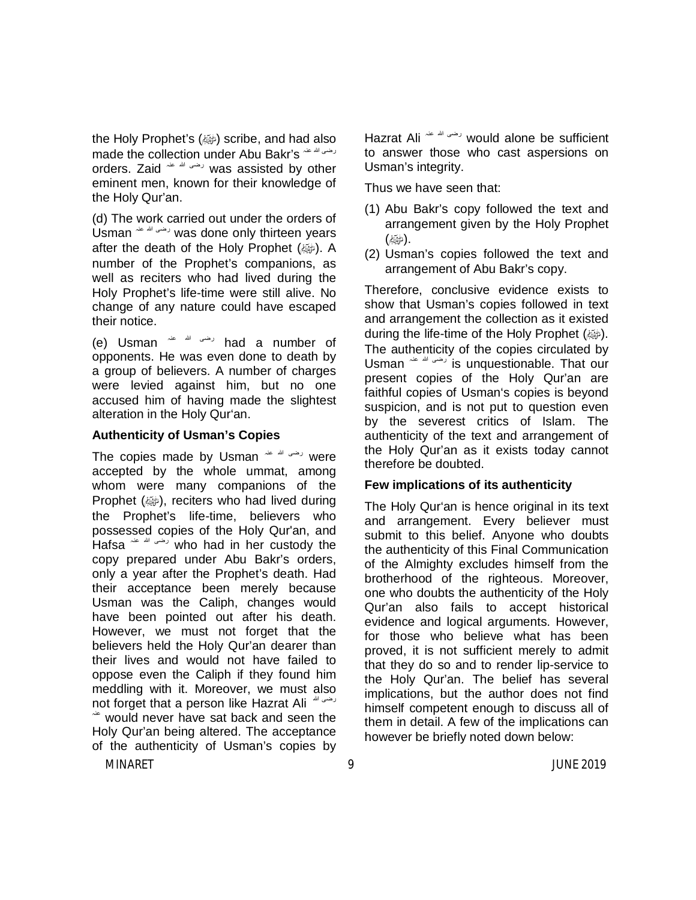the Holy Prophet's (رَضِهَا scribe, and had also made the collection under Abu Bakr's رضی الله عنہ orders. Zaid عنہ الله رضی was assisted by other eminent men, known for their knowledge of the Holy Qur'an.

(d) The work carried out under the orders of Usman عنہ الله رضی was done only thirteen years after the death of the Holy Prophet (ﷺ). A number of the Prophet's companions, as well as reciters who had lived during the Holy Prophet's life-time were still alive. No change of any nature could have escaped their notice.

(e) Usman عنہ الله رضی had a number of opponents. He was even done to death by a group of believers. A number of charges were levied against him, but no one accused him of having made the slightest alteration in the Holy Qur'an.

#### **Authenticity of Usman's Copies**

The copies made by Usman  $\frac{d}{dx}$  were accepted by the whole ummat, among whom were many companions of the Prophet (ﷺ), reciters who had lived during the Prophet's life-time, believers who possessed copies of the Holy Qur'an, and Hafsa عنہ الله رضی who had in her custody the copy prepared under Abu Bakr's orders, only a year after the Prophet's death. Had their acceptance been merely because Usman was the Caliph, changes would have been pointed out after his death. However, we must not forget that the believers held the Holy Qur'an dearer than their lives and would not have failed to oppose even the Caliph if they found him meddling with it. Moreover, we must also not forget that a person like Hazrat Ali  $\sim$  would never have sat back and seen the Holy Qur'an being altered. The acceptance of the authenticity of Usman's copies by

Hazrat Ali عنہ الله رضی would alone be sufficient to answer those who cast aspersions on Usman's integrity.

Thus we have seen that:

- (1) Abu Bakr's copy followed the text and arrangement given by the Holy Prophet . (ملايَّةٌ)
- (2) Usman's copies followed the text and arrangement of Abu Bakr's copy.

Therefore, conclusive evidence exists to show that Usman's copies followed in text and arrangement the collection as it existed during the life-time of the Holy Prophet (@). The authenticity of the copies circulated by Usman عنہ الله رضی is unquestionable. That our present copies of the Holy Qur'an are faithful copies of Usman's copies is beyond suspicion, and is not put to question even by the severest critics of Islam. The authenticity of the text and arrangement of the Holy Qur'an as it exists today cannot therefore be doubted.

#### **Few implications of its authenticity**

The Holy Qur'an is hence original in its text and arrangement. Every believer must submit to this belief. Anyone who doubts the authenticity of this Final Communication of the Almighty excludes himself from the brotherhood of the righteous. Moreover, one who doubts the authenticity of the Holy Qur'an also fails to accept historical evidence and logical arguments. However, for those who believe what has been proved, it is not sufficient merely to admit that they do so and to render lip-service to the Holy Qur'an. The belief has several implications, but the author does not find himself competent enough to discuss all of them in detail. A few of the implications can however be briefly noted down below: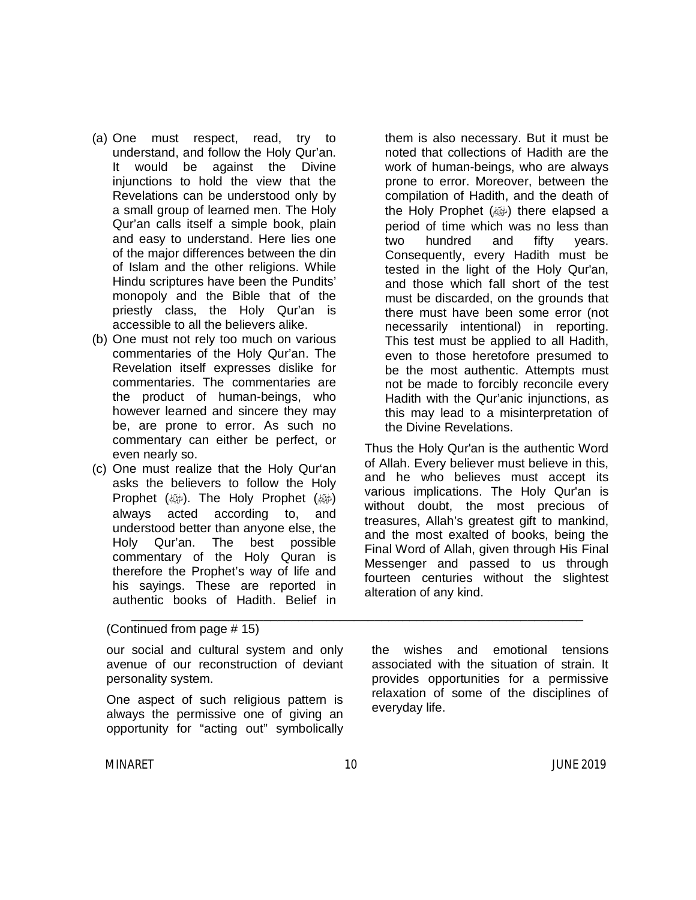- (a) One must respect, read, try to understand, and follow the Holy Qur'an. It would be against the Divine injunctions to hold the view that the Revelations can be understood only by a small group of learned men. The Holy Qur'an calls itself a simple book, plain and easy to understand. Here lies one of the major differences between the din of Islam and the other religions. While Hindu scriptures have been the Pundits' monopoly and the Bible that of the priestly class, the Holy Qur'an is accessible to all the believers alike.
- (b) One must not rely too much on various commentaries of the Holy Qur'an. The Revelation itself expresses dislike for commentaries. The commentaries are the product of human-beings, who however learned and sincere they may be, are prone to error. As such no commentary can either be perfect, or even nearly so.
- (c) One must realize that the Holy Qur'an asks the believers to follow the Holy Prophet (@). The Holy Prophet (@) always acted according to, and understood better than anyone else, the Holy Qur'an. The best possible commentary of the Holy Quran is therefore the Prophet's way of life and his sayings. These are reported in authentic books of Hadith. Belief in

them is also necessary. But it must be noted that collections of Hadith are the work of human-beings, who are always prone to error. Moreover, between the compilation of Hadith, and the death of the Holy Prophet (ﷺ) the elapsed a period of time which was no less than two hundred and fifty years. Consequently, every Hadith must be tested in the light of the Holy Qur'an, and those which fall short of the test must be discarded, on the grounds that there must have been some error (not necessarily intentional) in reporting. This test must be applied to all Hadith, even to those heretofore presumed to be the most authentic. Attempts must not be made to forcibly reconcile every Hadith with the Qur'anic injunctions, as this may lead to a misinterpretation of the Divine Revelations.

Thus the Holy Qur'an is the authentic Word of Allah. Every believer must believe in this, and he who believes must accept its various implications. The Holy Qur'an is without doubt, the most precious of treasures, Allah's greatest gift to mankind, and the most exalted of books, being the Final Word of Allah, given through His Final Messenger and passed to us through fourteen centuries without the slightest alteration of any kind.

(Continued from page # 15)

our social and cultural system and only avenue of our reconstruction of deviant personality system.

One aspect of such religious pattern is always the permissive one of giving an opportunity for "acting out" symbolically the wishes and emotional tensions associated with the situation of strain. It provides opportunities for a permissive relaxation of some of the disciplines of everyday life.

\_\_\_\_\_\_\_\_\_\_\_\_\_\_\_\_\_\_\_\_\_\_\_\_\_\_\_\_\_\_\_\_\_\_\_\_\_\_\_\_\_\_\_\_\_\_\_\_\_\_\_\_\_\_\_\_\_\_\_\_\_\_\_\_\_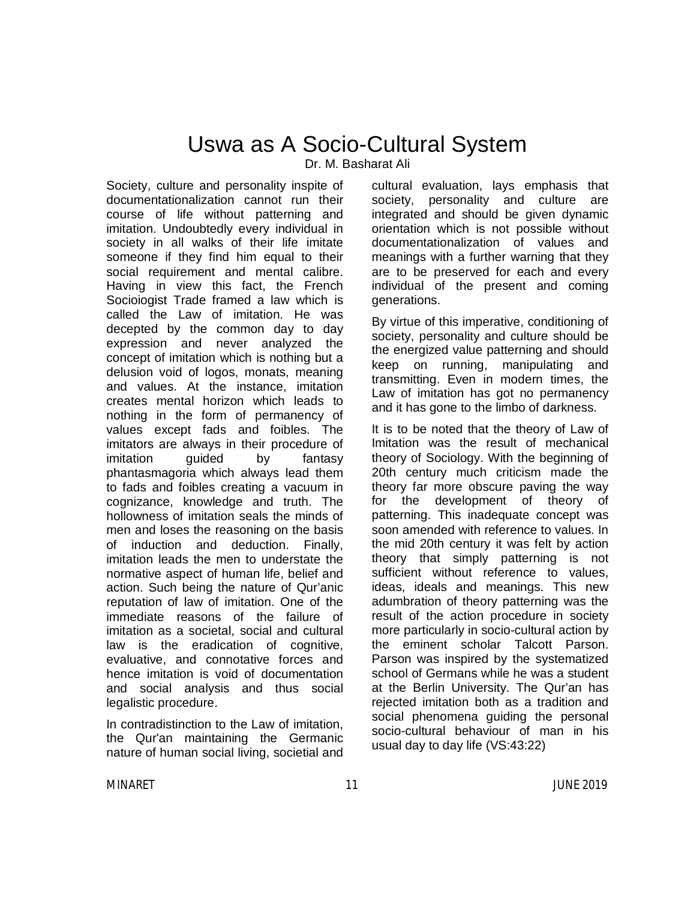## Uswa as A Socio-Cultural System

Dr. M. Basharat Ali

Society, culture and personality inspite of documentationalization cannot run their course of life without patterning and imitation. Undoubtedly every individual in society in all walks of their life imitate someone if they find him equal to their social requirement and mental calibre. Having in view this fact, the French Socioiogist Trade framed a law which is called the Law of imitation. He was decepted by the common day to day expression and never analyzed the concept of imitation which is nothing but a delusion void of logos, monats, meaning and values. At the instance, imitation creates mental horizon which leads to nothing in the form of permanency of values except fads and foibles. The imitators are always in their procedure of imitation quided by fantasy phantasmagoria which always lead them to fads and foibles creating a vacuum in cognizance, knowledge and truth. The hollowness of imitation seals the minds of men and loses the reasoning on the basis of induction and deduction. Finally, imitation leads the men to understate the normative aspect of human life, belief and action. Such being the nature of Qur'anic reputation of law of imitation. One of the immediate reasons of the failure of imitation as a societal, social and cultural law is the eradication of cognitive, evaluative, and connotative forces and hence imitation is void of documentation and social analysis and thus social legalistic procedure.

In contradistinction to the Law of imitation, the Qur'an maintaining the Germanic nature of human social living, societial and cultural evaluation, lays emphasis that society, personality and culture are integrated and should be given dynamic orientation which is not possible without documentationalization of values and meanings with a further warning that they are to be preserved for each and every individual of the present and coming generations.

By virtue of this imperative, conditioning of society, personality and culture should be the energized value patterning and should keep on running, manipulating and transmitting. Even in modern times, the Law of imitation has got no permanency and it has gone to the limbo of darkness.

It is to be noted that the theory of Law of Imitation was the result of mechanical theory of Sociology. With the beginning of 20th century much criticism made the theory far more obscure paving the way for the development of theory of patterning. This inadequate concept was soon amended with reference to values. In the mid 20th century it was felt by action theory that simply patterning is not sufficient without reference to values, ideas, ideals and meanings. This new adumbration of theory patterning was the result of the action procedure in society more particularly in socio-cultural action by the eminent scholar Talcott Parson. Parson was inspired by the systematized school of Germans while he was a student at the Berlin University. The Qur'an has rejected imitation both as a tradition and social phenomena guiding the personal socio-cultural behaviour of man in his usual day to day life (VS:43:22)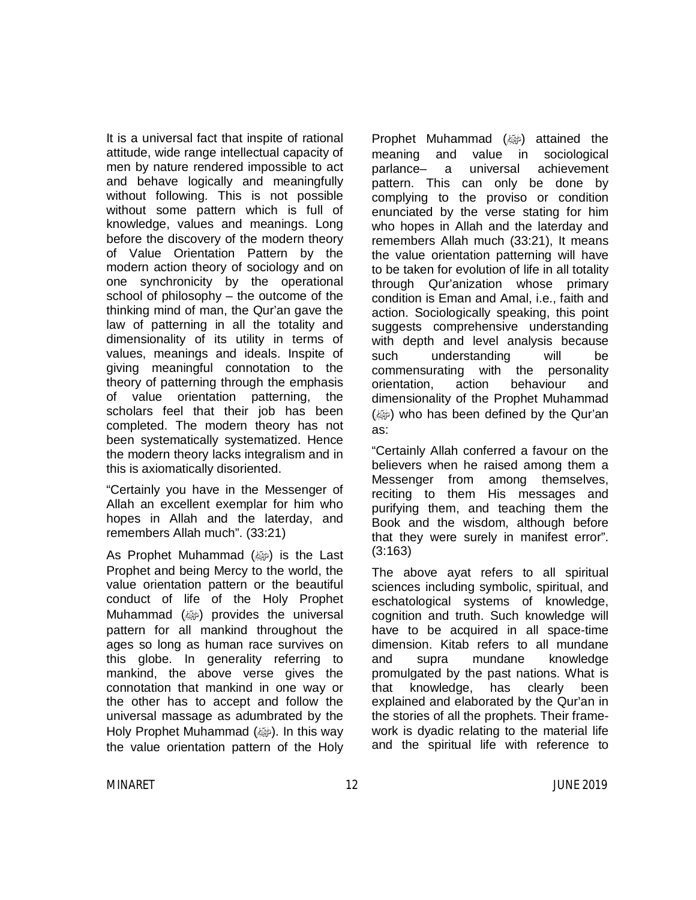It is a universal fact that inspite of rational attitude, wide range intellectual capacity of men by nature rendered impossible to act and behave logically and meaningfully without following. This is not possible without some pattern which is full of knowledge, values and meanings. Long before the discovery of the modern theory of Value Orientation Pattern by the modern action theory of sociology and on one synchronicity by the operational school of philosophy – the outcome of the thinking mind of man, the Qur'an gave the law of patterning in all the totality and dimensionality of its utility in terms of values, meanings and ideals. Inspite of giving meaningful connotation to the theory of patterning through the emphasis of value orientation patterning, the scholars feel that their job has been completed. The modern theory has not been systematically systematized. Hence the modern theory lacks integralism and in this is axiomatically disoriented.

"Certainly you have in the Messenger of Allah an excellent exemplar for him who hopes in Allah and the laterday, and remembers Allah much". (33:21)

As Prophet Muhammad  $(\omega)$  is the Last Prophet and being Mercy to the world, the value orientation pattern or the beautiful conduct of life of the Holy Prophet Muhammad (ﷺ) provides the universal pattern for all mankind throughout the ages so long as human race survives on this globe. In generality referring to mankind, the above verse gives the connotation that mankind in one way or the other has to accept and follow the universal massage as adumbrated by the Holy Prophet Muhammad (رضية). In this way the value orientation pattern of the Holy

Prophet Muhammad (@) attained the meaning and value in sociological parlance– a universal achievement pattern. This can only be done by complying to the proviso or condition enunciated by the verse stating for him who hopes in Allah and the laterday and remembers Allah much (33:21), It means the value orientation patterning will have to be taken for evolution of life in all totality through Qur'anization whose primary condition is Eman and Amal, i.e., faith and action. Sociologically speaking, this point suggests comprehensive understanding with depth and level analysis because such understanding will be commensurating with the personality orientation, action behaviour and dimensionality of the Prophet Muhammad (@) who has been defined by the Qur'an as:

"Certainly Allah conferred a favour on the believers when he raised among them a Messenger from among themselves, reciting to them His messages and purifying them, and teaching them the Book and the wisdom, although before that they were surely in manifest error". (3:163)

The above ayat refers to all spiritual sciences including symbolic, spiritual, and eschatological systems of knowledge, cognition and truth. Such knowledge will have to be acquired in all space-time dimension. Kitab refers to all mundane and supra mundane knowledge promulgated by the past nations. What is that knowledge, has clearly been explained and elaborated by the Qur'an in the stories of all the prophets. Their framework is dyadic relating to the material life and the spiritual life with reference to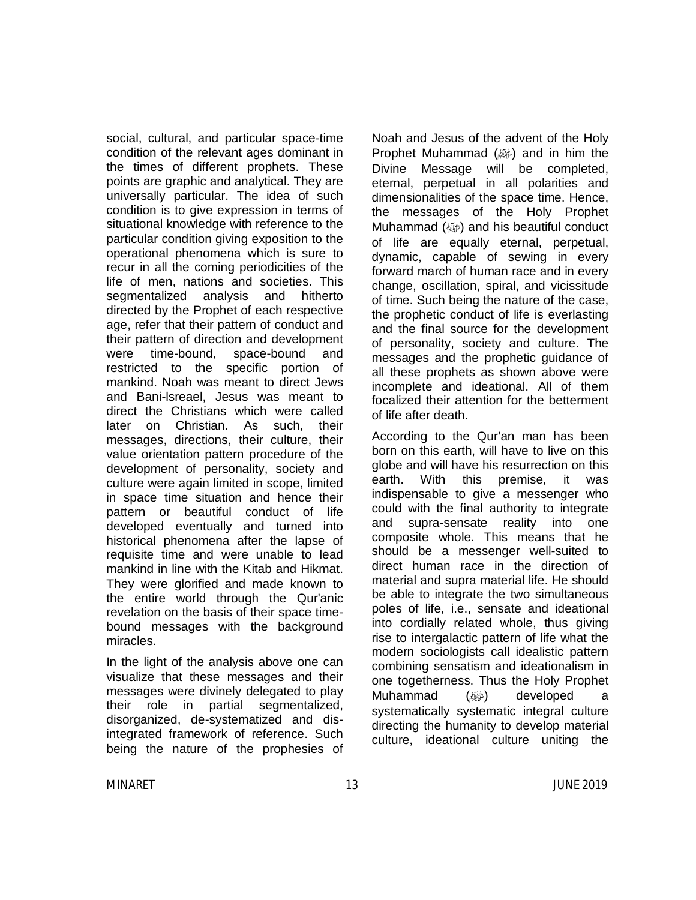social, cultural, and particular space-time condition of the relevant ages dominant in the times of different prophets. These points are graphic and analytical. They are universally particular. The idea of such condition is to give expression in terms of situational knowledge with reference to the particular condition giving exposition to the operational phenomena which is sure to recur in all the coming periodicities of the life of men, nations and societies. This segmentalized analysis and hitherto directed by the Prophet of each respective age, refer that their pattern of conduct and their pattern of direction and development were time-bound, space-bound and restricted to the specific portion of mankind. Noah was meant to direct Jews and Bani-lsreael, Jesus was meant to direct the Christians which were called later on Christian. As such, their messages, directions, their culture, their value orientation pattern procedure of the development of personality, society and culture were again limited in scope, limited in space time situation and hence their pattern or beautiful conduct of life developed eventually and turned into historical phenomena after the lapse of requisite time and were unable to lead mankind in line with the Kitab and Hikmat. They were glorified and made known to the entire world through the Qur'anic revelation on the basis of their space timebound messages with the background miracles.

In the light of the analysis above one can visualize that these messages and their messages were divinely delegated to play their role in partial segmentalized, disorganized, de-systematized and disintegrated framework of reference. Such being the nature of the prophesies of

Noah and Jesus of the advent of the Holy Prophet Muhammad  $(\omega)$  and in him the Divine Message will be completed, eternal, perpetual in all polarities and dimensionalities of the space time. Hence, the messages of the Holy Prophet Muhammad (ﷺ) and his beautiful conduct of life are equally eternal, perpetual, dynamic, capable of sewing in every forward march of human race and in every change, oscillation, spiral, and vicissitude of time. Such being the nature of the case, the prophetic conduct of life is everlasting and the final source for the development of personality, society and culture. The messages and the prophetic guidance of all these prophets as shown above were incomplete and ideational. All of them focalized their attention for the betterment of life after death.

According to the Qur'an man has been born on this earth, will have to live on this globe and will have his resurrection on this earth. With this premise, it was indispensable to give a messenger who could with the final authority to integrate and supra-sensate reality into one composite whole. This means that he should be a messenger well-suited to direct human race in the direction of material and supra material life. He should be able to integrate the two simultaneous poles of life, i.e., sensate and ideational into cordially related whole, thus giving rise to intergalactic pattern of life what the modern sociologists call idealistic pattern combining sensatism and ideationalism in one togetherness. Thus the Holy Prophet Muhammad (ﷺ) developed a systematically systematic integral culture directing the humanity to develop material culture, ideational culture uniting the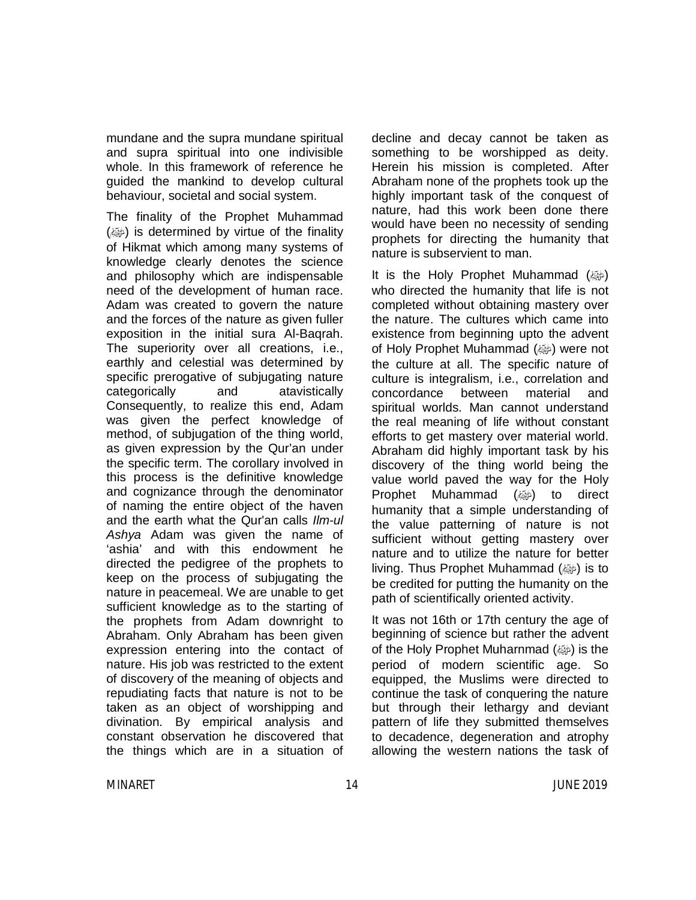mundane and the supra mundane spiritual and supra spiritual into one indivisible whole. In this framework of reference he guided the mankind to develop cultural behaviour, societal and social system.

The finality of the Prophet Muhammad  $(\omega)$  is determined by virtue of the finality of Hikmat which among many systems of knowledge clearly denotes the science and philosophy which are indispensable need of the development of human race. Adam was created to govern the nature and the forces of the nature as given fuller exposition in the initial sura Al-Baqrah. The superiority over all creations, i.e., earthly and celestial was determined by specific prerogative of subjugating nature categorically and atavistically Consequently, to realize this end, Adam was given the perfect knowledge of method, of subjugation of the thing world, as given expression by the Qur'an under the specific term. The corollary involved in this process is the definitive knowledge and cognizance through the denominator of naming the entire object of the haven and the earth what the Qur'an calls *Ilm-ul Ashya* Adam was given the name of 'ashia' and with this endowment he directed the pedigree of the prophets to keep on the process of subjugating the nature in peacemeal. We are unable to get sufficient knowledge as to the starting of the prophets from Adam downright to Abraham. Only Abraham has been given expression entering into the contact of nature. His job was restricted to the extent of discovery of the meaning of objects and repudiating facts that nature is not to be taken as an object of worshipping and divination. By empirical analysis and constant observation he discovered that the things which are in a situation of

decline and decay cannot be taken as something to be worshipped as deity. Herein his mission is completed. After Abraham none of the prophets took up the highly important task of the conquest of nature, had this work been done there would have been no necessity of sending prophets for directing the humanity that nature is subservient to man.

It is the Holy Prophet Muhammad  $(\omega)$ who directed the humanity that life is not completed without obtaining mastery over the nature. The cultures which came into existence from beginning upto the advent of Holy Prophet Muhammad (صلى الله عليه وسلم (were not the culture at all. The specific nature of culture is integralism, i.e., correlation and concordance between material and spiritual worlds. Man cannot understand the real meaning of life without constant efforts to get mastery over material world. Abraham did highly important task by his discovery of the thing world being the value world paved the way for the Holy Prophet Muhammad (@) to direct humanity that a simple understanding of the value patterning of nature is not sufficient without getting mastery over nature and to utilize the nature for better living. Thus Prophet Muhammad (@) is to be credited for putting the humanity on the path of scientifically oriented activity.

It was not 16th or 17th century the age of beginning of science but rather the advent of the Holy Prophet Muharnmad (ﷺ) is the period of modern scientific age. So equipped, the Muslims were directed to continue the task of conquering the nature but through their lethargy and deviant pattern of life they submitted themselves to decadence, degeneration and atrophy allowing the western nations the task of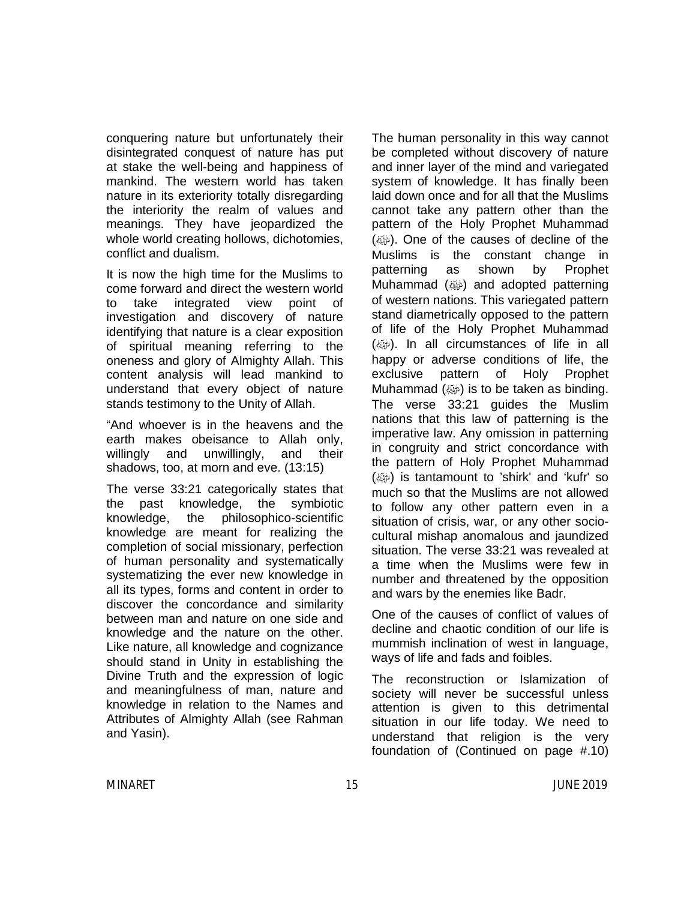conquering nature but unfortunately their disintegrated conquest of nature has put at stake the well-being and happiness of mankind. The western world has taken nature in its exteriority totally disregarding the interiority the realm of values and meanings. They have jeopardized the whole world creating hollows, dichotomies, conflict and dualism.

It is now the high time for the Muslims to come forward and direct the western world to take integrated view point of investigation and discovery of nature identifying that nature is a clear exposition of spiritual meaning referring to the oneness and glory of Almighty Allah. This content analysis will lead mankind to understand that every object of nature stands testimony to the Unity of Allah.

"And whoever is in the heavens and the earth makes obeisance to Allah only, willingly and unwillingly, and their shadows, too, at morn and eve. (13:15)

The verse 33:21 categorically states that the past knowledge, the symbiotic knowledge, the philosophico-scientific knowledge are meant for realizing the completion of social missionary, perfection of human personality and systematically systematizing the ever new knowledge in all its types, forms and content in order to discover the concordance and similarity between man and nature on one side and knowledge and the nature on the other. Like nature, all knowledge and cognizance should stand in Unity in establishing the Divine Truth and the expression of logic and meaningfulness of man, nature and knowledge in relation to the Names and Attributes of Almighty Allah (see Rahman and Yasin).

The human personality in this way cannot be completed without discovery of nature and inner layer of the mind and variegated system of knowledge. It has finally been laid down once and for all that the Muslims cannot take any pattern other than the pattern of the Holy Prophet Muhammad (@). One of the causes of decline of the Muslims is the constant change in patterning as shown by Prophet Muhammad (ﷺ) and adopted patterning of western nations. This variegated pattern stand diametrically opposed to the pattern of life of the Holy Prophet Muhammad (). In all circumstances of life in all happy or adverse conditions of life, the exclusive pattern of Holy Prophet Muhammad  $(\omega)$  is to be taken as binding. The verse 33:21 guides the Muslim nations that this law of patterning is the imperative law. Any omission in patterning in congruity and strict concordance with the pattern of Holy Prophet Muhammad  $(\omega)$  is tantamount to 'shirk' and 'kufr' so much so that the Muslims are not allowed to follow any other pattern even in a situation of crisis, war, or any other sociocultural mishap anomalous and jaundized situation. The verse 33:21 was revealed at a time when the Muslims were few in number and threatened by the opposition and wars by the enemies like Badr.

One of the causes of conflict of values of decline and chaotic condition of our life is mummish inclination of west in language, ways of life and fads and foibles.

The reconstruction or Islamization of society will never be successful unless attention is given to this detrimental situation in our life today. We need to understand that religion is the very foundation of (Continued on page #.10)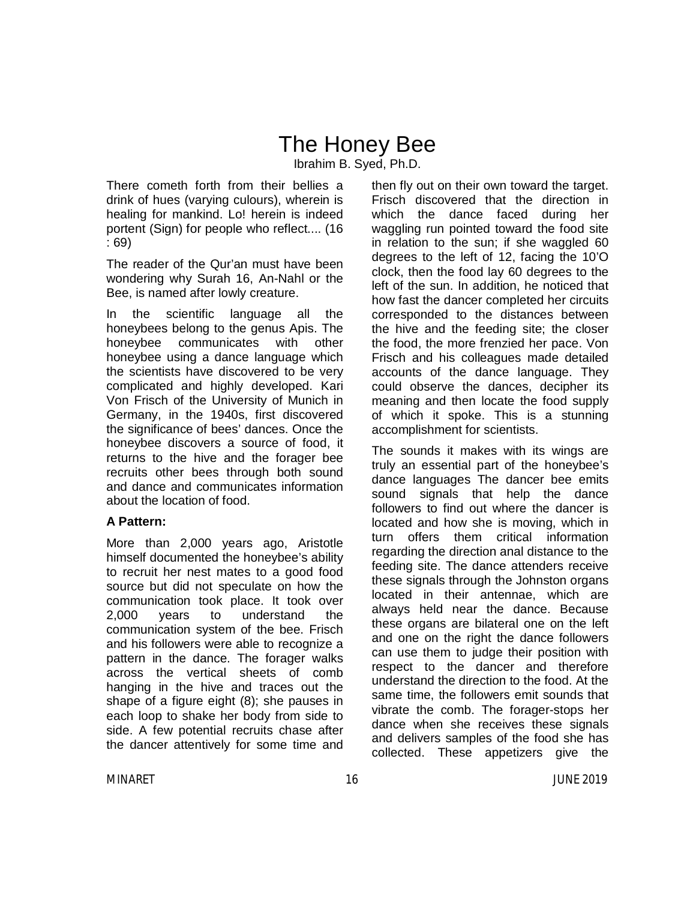# The Honey Bee

Ibrahim B. Syed, Ph.D.

There cometh forth from their bellies a drink of hues (varying culours), wherein is healing for mankind. Lo! herein is indeed portent (Sign) for people who reflect.... (16 : 69)

The reader of the Qur'an must have been wondering why Surah 16, An-Nahl or the Bee, is named after lowly creature.

In the scientific language all the honeybees belong to the genus Apis. The honeybee communicates with other honeybee using a dance language which the scientists have discovered to be very complicated and highly developed. Kari Von Frisch of the University of Munich in Germany, in the 1940s, first discovered the significance of bees' dances. Once the honeybee discovers a source of food, it returns to the hive and the forager bee recruits other bees through both sound and dance and communicates information about the location of food.

#### **A Pattern:**

More than 2,000 years ago, Aristotle himself documented the honeybee's ability to recruit her nest mates to a good food source but did not speculate on how the communication took place. It took over 2,000 years to understand the communication system of the bee. Frisch and his followers were able to recognize a pattern in the dance. The forager walks across the vertical sheets of comb hanging in the hive and traces out the shape of a figure eight (8); she pauses in each loop to shake her body from side to side. A few potential recruits chase after the dancer attentively for some time and then fly out on their own toward the target. Frisch discovered that the direction in which the dance faced during her waggling run pointed toward the food site in relation to the sun; if she waggled 60 degrees to the left of 12, facing the 10'O clock, then the food lay 60 degrees to the left of the sun. In addition, he noticed that how fast the dancer completed her circuits corresponded to the distances between the hive and the feeding site; the closer the food, the more frenzied her pace. Von Frisch and his colleagues made detailed accounts of the dance language. They could observe the dances, decipher its meaning and then locate the food supply of which it spoke. This is a stunning accomplishment for scientists.

The sounds it makes with its wings are truly an essential part of the honeybee's dance languages The dancer bee emits sound signals that help the dance followers to find out where the dancer is located and how she is moving, which in turn offers them critical information regarding the direction anal distance to the feeding site. The dance attenders receive these signals through the Johnston organs located in their antennae, which are always held near the dance. Because these organs are bilateral one on the left and one on the right the dance followers can use them to judge their position with respect to the dancer and therefore understand the direction to the food. At the same time, the followers emit sounds that vibrate the comb. The forager-stops her dance when she receives these signals and delivers samples of the food she has collected. These appetizers give the

MINARET 16 JUNE 2019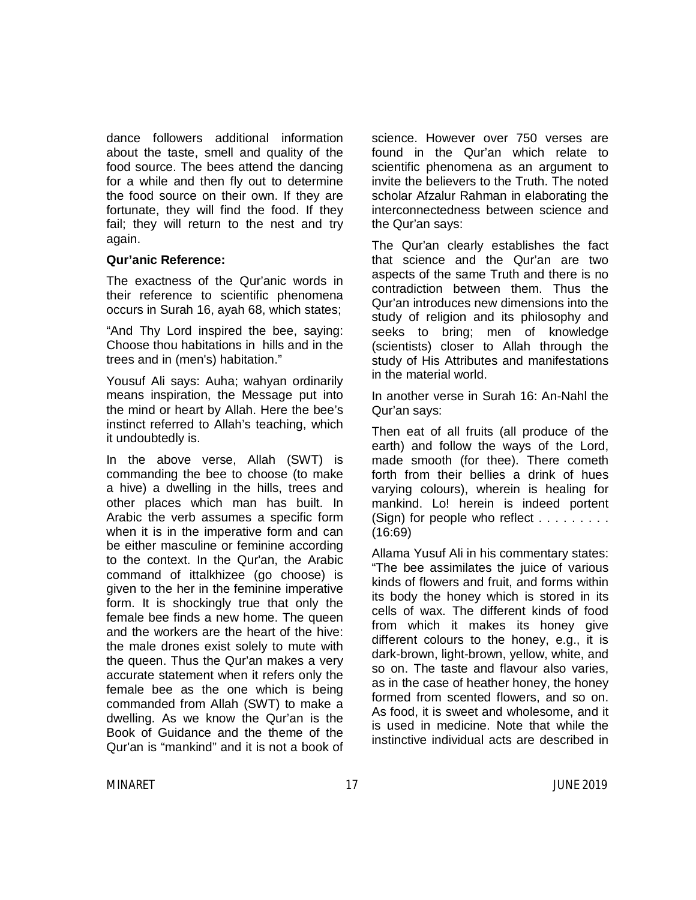dance followers additional information about the taste, smell and quality of the food source. The bees attend the dancing for a while and then fly out to determine the food source on their own. If they are fortunate, they will find the food. If they fail; they will return to the nest and try again.

#### **Qur'anic Reference:**

The exactness of the Qur'anic words in their reference to scientific phenomena occurs in Surah 16, ayah 68, which states;

"And Thy Lord inspired the bee, saying: Choose thou habitations in hills and in the trees and in (men's) habitation."

Yousuf Ali says: Auha; wahyan ordinarily means inspiration, the Message put into the mind or heart by Allah. Here the bee's instinct referred to Allah's teaching, which it undoubtedly is.

In the above verse, Allah (SWT) is commanding the bee to choose (to make a hive) a dwelling in the hills, trees and other places which man has built. In Arabic the verb assumes a specific form when it is in the imperative form and can be either masculine or feminine according to the context. In the Qur'an, the Arabic command of ittalkhizee (go choose) is given to the her in the feminine imperative form. It is shockingly true that only the female bee finds a new home. The queen and the workers are the heart of the hive: the male drones exist solely to mute with the queen. Thus the Qur'an makes a very accurate statement when it refers only the female bee as the one which is being commanded from Allah (SWT) to make a dwelling. As we know the Qur'an is the Book of Guidance and the theme of the Qur'an is "mankind" and it is not a book of science. However over 750 verses are found in the Qur'an which relate to scientific phenomena as an argument to invite the believers to the Truth. The noted scholar Afzalur Rahman in elaborating the interconnectedness between science and the Qur'an says:

The Qur'an clearly establishes the fact that science and the Qur'an are two aspects of the same Truth and there is no contradiction between them. Thus the Qur'an introduces new dimensions into the study of religion and its philosophy and seeks to bring; men of knowledge (scientists) closer to Allah through the study of His Attributes and manifestations in the material world.

In another verse in Surah 16: An-Nahl the Qur'an says:

Then eat of all fruits (all produce of the earth) and follow the ways of the Lord, made smooth (for thee). There cometh forth from their bellies a drink of hues varying colours), wherein is healing for mankind. Lo! herein is indeed portent (Sign) for people who reflect  $\dots \dots$ (16:69)

Allama Yusuf Ali in his commentary states: "The bee assimilates the juice of various kinds of flowers and fruit, and forms within its body the honey which is stored in its cells of wax. The different kinds of food from which it makes its honey give different colours to the honey, e.g., it is dark-brown, light-brown, yellow, white, and so on. The taste and flavour also varies, as in the case of heather honey, the honey formed from scented flowers, and so on. As food, it is sweet and wholesome, and it is used in medicine. Note that while the instinctive individual acts are described in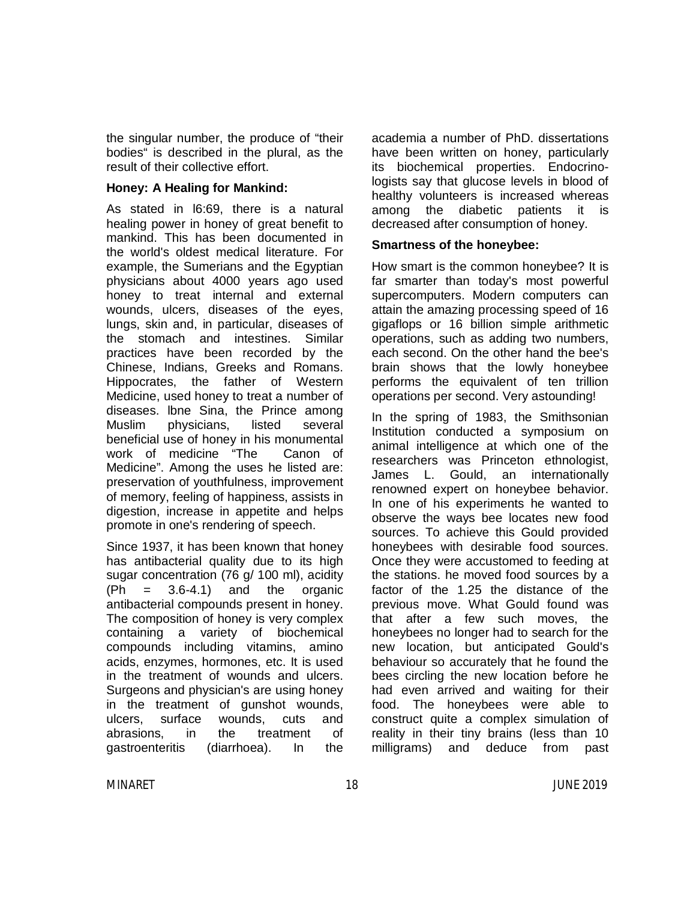the singular number, the produce of "their bodies" is described in the plural, as the result of their collective effort.

#### **Honey: A Healing for Mankind:**

As stated in l6:69, there is a natural healing power in honey of great benefit to mankind. This has been documented in the world's oldest medical literature. For example, the Sumerians and the Egyptian physicians about 4000 years ago used honey to treat internal and external wounds, ulcers, diseases of the eyes, lungs, skin and, in particular, diseases of the stomach and intestines. Similar practices have been recorded by the Chinese, Indians, Greeks and Romans. Hippocrates, the father of Western Medicine, used honey to treat a number of diseases. lbne Sina, the Prince among Muslim physicians, listed several beneficial use of honey in his monumental work of medicine "The Canon of Medicine". Among the uses he listed are: preservation of youthfulness, improvement of memory, feeling of happiness, assists in digestion, increase in appetite and helps promote in one's rendering of speech.

Since 1937, it has been known that honey has antibacterial quality due to its high sugar concentration (76 g/ 100 ml), acidity  $(Ph = 3.6-4.1)$  and the organic antibacterial compounds present in honey. The composition of honey is very complex containing a variety of biochemical compounds including vitamins, amino acids, enzymes, hormones, etc. It is used in the treatment of wounds and ulcers. Surgeons and physician's are using honey in the treatment of gunshot wounds, ulcers, surface wounds, cuts and abrasions, in the treatment of gastroenteritis (diarrhoea). In the academia a number of PhD. dissertations have been written on honey, particularly its biochemical properties. Endocrinologists say that glucose levels in blood of healthy volunteers is increased whereas among the diabetic patients it is decreased after consumption of honey.

#### **Smartness of the honeybee:**

How smart is the common honeybee? It is far smarter than today's most powerful supercomputers. Modern computers can attain the amazing processing speed of 16 gigaflops or 16 billion simple arithmetic operations, such as adding two numbers, each second. On the other hand the bee's brain shows that the lowly honeybee performs the equivalent of ten trillion operations per second. Very astounding!

In the spring of 1983, the Smithsonian Institution conducted a symposium on animal intelligence at which one of the researchers was Princeton ethnologist, James L. Gould, an internationally renowned expert on honeybee behavior. In one of his experiments he wanted to observe the ways bee locates new food sources. To achieve this Gould provided honeybees with desirable food sources. Once they were accustomed to feeding at the stations. he moved food sources by a factor of the 1.25 the distance of the previous move. What Gould found was that after a few such moves, the honeybees no longer had to search for the new location, but anticipated Gould's behaviour so accurately that he found the bees circling the new location before he had even arrived and waiting for their food. The honeybees were able to construct quite a complex simulation of reality in their tiny brains (less than 10 milligrams) and deduce from past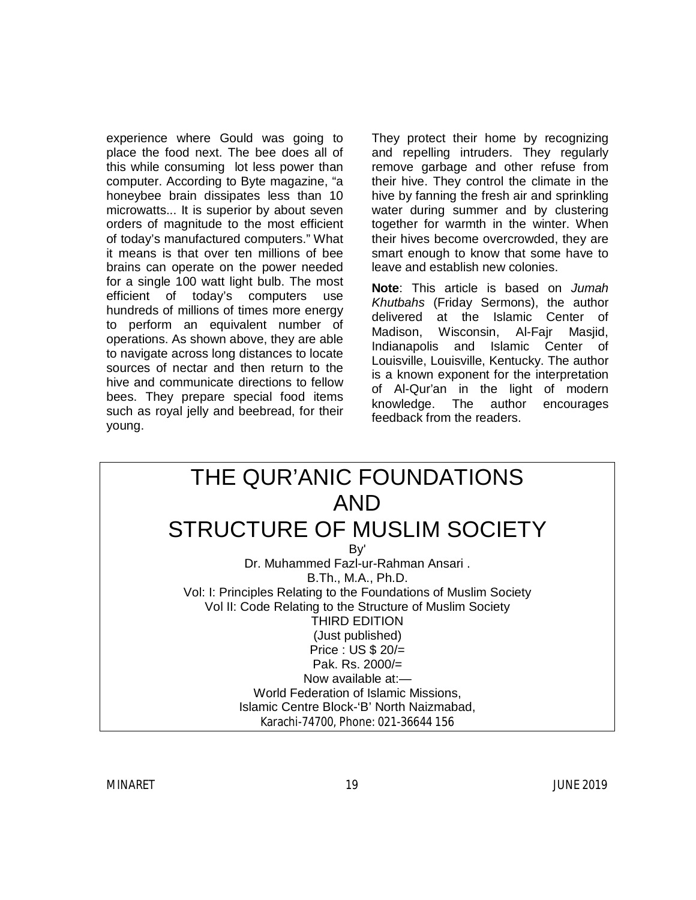experience where Gould was going to place the food next. The bee does all of this while consuming lot less power than computer. According to Byte magazine, "a honeybee brain dissipates less than 10 microwatts... It is superior by about seven orders of magnitude to the most efficient of today's manufactured computers." What it means is that over ten millions of bee brains can operate on the power needed for a single 100 watt light bulb. The most efficient of today's computers use hundreds of millions of times more energy to perform an equivalent number of operations. As shown above, they are able to navigate across long distances to locate sources of nectar and then return to the hive and communicate directions to fellow bees. They prepare special food items such as royal jelly and beebread, for their young.

They protect their home by recognizing and repelling intruders. They regularly remove garbage and other refuse from their hive. They control the climate in the hive by fanning the fresh air and sprinkling water during summer and by clustering together for warmth in the winter. When their hives become overcrowded, they are smart enough to know that some have to leave and establish new colonies.

**Note**: This article is based on *Jumah Khutbahs* (Friday Sermons), the author delivered at the Islamic Center of Madison, Wisconsin, Al-Fajr Masjid, Indianapolis and Islamic Center of Louisville, Louisville, Kentucky. The author is a known exponent for the interpretation of Al-Qur'an in the light of modern knowledge. The author encourages feedback from the readers.

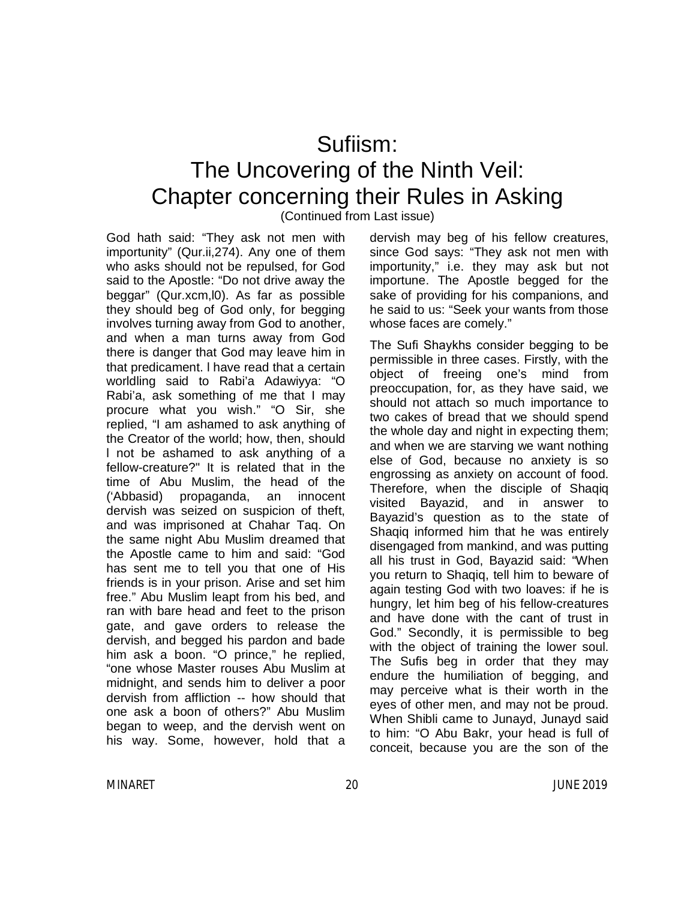### Sufiism: The Uncovering of the Ninth Veil: Chapter concerning their Rules in Asking

(Continued from Last issue)

God hath said: "They ask not men with importunity" (Qur.ii,274). Any one of them who asks should not be repulsed, for God said to the Apostle: "Do not drive away the beggar" (Qur.xcm,l0). As far as possible they should beg of God only, for begging involves turning away from God to another, and when a man turns away from God there is danger that God may leave him in that predicament. l have read that a certain worldling said to Rabi'a Adawiyya: "O Rabi'a, ask something of me that I may procure what you wish." "O Sir, she replied, "I am ashamed to ask anything of the Creator of the world; how, then, should l not be ashamed to ask anything of a fellow-creature?" It is related that in the time of Abu Muslim, the head of the ('Abbasid) propaganda, an innocent dervish was seized on suspicion of theft, and was imprisoned at Chahar Taq. On the same night Abu Muslim dreamed that the Apostle came to him and said: "God has sent me to tell you that one of His friends is in your prison. Arise and set him free." Abu Muslim leapt from his bed, and ran with bare head and feet to the prison gate, and gave orders to release the dervish, and begged his pardon and bade him ask a boon. "O prince," he replied, "one whose Master rouses Abu Muslim at midnight, and sends him to deliver a poor dervish from affliction -- how should that one ask a boon of others?" Abu Muslim began to weep, and the dervish went on his way. Some, however, hold that a

dervish may beg of his fellow creatures, since God says: "They ask not men with importunity," i.e. they may ask but not importune. The Apostle begged for the sake of providing for his companions, and he said to us: "Seek your wants from those whose faces are comely."

The Sufi Shaykhs consider begging to be permissible in three cases. Firstly, with the object of freeing one's mind from preoccupation, for, as they have said, we should not attach so much importance to two cakes of bread that we should spend the whole day and night in expecting them; and when we are starving we want nothing else of God, because no anxiety is so engrossing as anxiety on account of food. Therefore, when the disciple of Shaqiq visited Bayazid, and in answer to Bayazid's question as to the state of Shaqiq informed him that he was entirely disengaged from mankind, and was putting all his trust in God, Bayazid said: "When you return to Shaqiq, tell him to beware of again testing God with two loaves: if he is hungry, let him beg of his fellow-creatures and have done with the cant of trust in God." Secondly, it is permissible to beg with the object of training the lower soul. The Sufis beg in order that they may endure the humiliation of begging, and may perceive what is their worth in the eyes of other men, and may not be proud. When Shibli came to Junayd, Junayd said to him: "O Abu Bakr, your head is full of conceit, because you are the son of the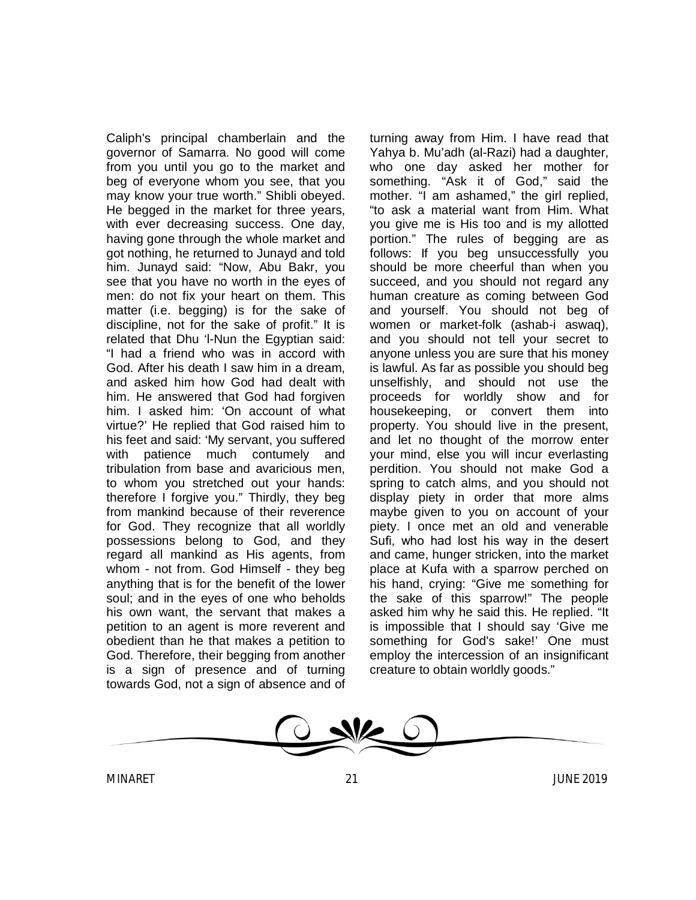Caliph's principal chamberlain and the governor of Samarra. No good will come from you until you go to the market and beg of everyone whom you see, that you may know your true worth." Shibli obeyed. He begged in the market for three years, with ever decreasing success. One day, having gone through the whole market and got nothing, he returned to Junayd and told him. Junayd said: "Now, Abu Bakr, you see that you have no worth in the eyes of men: do not fix your heart on them. This matter (i.e. begging) is for the sake of discipline, not for the sake of profit." It is related that Dhu 'l-Nun the Egyptian said: "I had a friend who was in accord with God. After his death I saw him in a dream, and asked him how God had dealt with him. He answered that God had forgiven him. I asked him: 'On account of what virtue?' He replied that God raised him to his feet and said: 'My servant, you suffered with patience much contumely and tribulation from base and avaricious men, to whom you stretched out your hands: therefore I forgive you." Thirdly, they beg from mankind because of their reverence for God. They recognize that all worldly possessions belong to God, and they regard all mankind as His agents, from whom - not from. God Himself - they beg anything that is for the benefit of the lower soul; and in the eyes of one who beholds his own want, the servant that makes a petition to an agent is more reverent and obedient than he that makes a petition to God. Therefore, their begging from another is a sign of presence and of turning towards God, not a sign of absence and of turning away from Him. I have read that Yahya b. Mu'adh (al-Razi) had a daughter, who one day asked her mother for something. "Ask it of God," said the mother. "I am ashamed," the girl replied, "to ask a material want from Him. What you give me is His too and is my allotted portion." The rules of begging are as follows: If you beg unsuccessfully you should be more cheerful than when you succeed, and you should not regard any human creature as coming between God and yourself. You should not beg of women or market-folk (ashab-i aswaq), and you should not tell your secret to anyone unless you are sure that his money is lawful. As far as possible you should beg unselfishly, and should not use the proceeds for worldly show and for housekeeping, or convert them into property. You should live in the present, and let no thought of the morrow enter your mind, else you will incur everlasting perdition. You should not make God a spring to catch alms, and you should not display piety in order that more alms maybe given to you on account of your piety. I once met an old and venerable Sufi, who had lost his way in the desert and came, hunger stricken, into the market place at Kufa with a sparrow perched on his hand, crying: "Give me something for the sake of this sparrow!" The people asked him why he said this. He replied. "It is impossible that I should say 'Give me something for God's sake!' One must employ the intercession of an insignificant creature to obtain worldly goods."

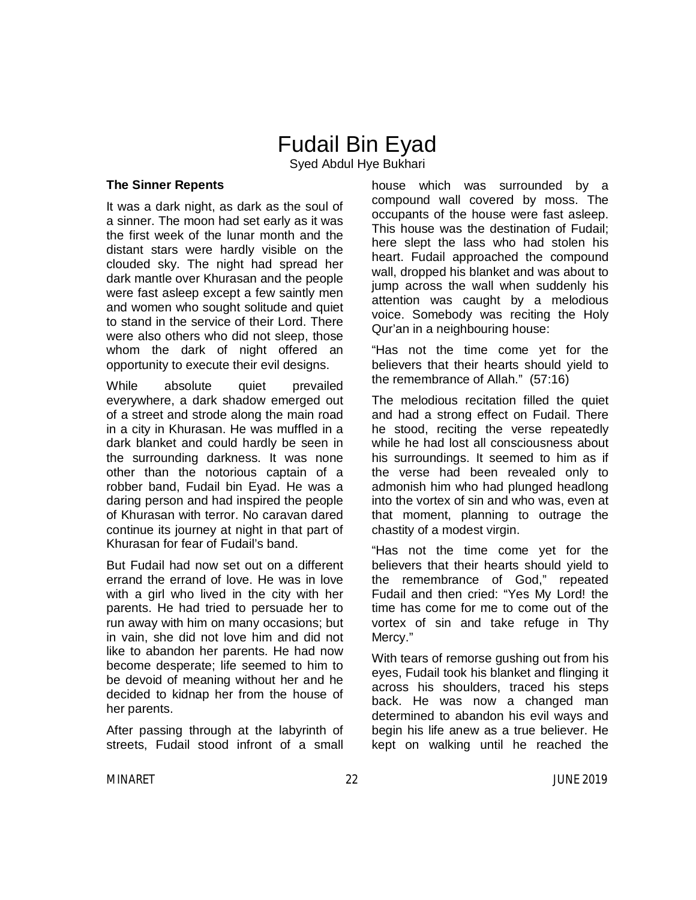### Fudail Bin Eyad

Syed Abdul Hye Bukhari

#### **The Sinner Repents**

It was a dark night, as dark as the soul of a sinner. The moon had set early as it was the first week of the lunar month and the distant stars were hardly visible on the clouded sky. The night had spread her dark mantle over Khurasan and the people were fast asleep except a few saintly men and women who sought solitude and quiet to stand in the service of their Lord. There were also others who did not sleep, those whom the dark of night offered an opportunity to execute their evil designs.

While absolute quiet prevailed everywhere, a dark shadow emerged out of a street and strode along the main road in a city in Khurasan. He was muffled in a dark blanket and could hardly be seen in the surrounding darkness. It was none other than the notorious captain of a robber band, Fudail bin Eyad. He was a daring person and had inspired the people of Khurasan with terror. No caravan dared continue its journey at night in that part of Khurasan for fear of Fudail's band.

But Fudail had now set out on a different errand the errand of love. He was in love with a girl who lived in the city with her parents. He had tried to persuade her to run away with him on many occasions; but in vain, she did not love him and did not like to abandon her parents. He had now become desperate; life seemed to him to be devoid of meaning without her and he decided to kidnap her from the house of her parents.

After passing through at the labyrinth of streets, Fudail stood infront of a small

house which was surrounded by a compound wall covered by moss. The occupants of the house were fast asleep. This house was the destination of Fudail; here slept the lass who had stolen his heart. Fudail approached the compound wall, dropped his blanket and was about to jump across the wall when suddenly his attention was caught by a melodious voice. Somebody was reciting the Holy Qur'an in a neighbouring house:

"Has not the time come yet for the believers that their hearts should yield to the remembrance of Allah." (57:16)

The melodious recitation filled the quiet and had a strong effect on Fudail. There he stood, reciting the verse repeatedly while he had lost all consciousness about his surroundings. It seemed to him as if the verse had been revealed only to admonish him who had plunged headlong into the vortex of sin and who was, even at that moment, planning to outrage the chastity of a modest virgin.

"Has not the time come yet for the believers that their hearts should yield to the remembrance of God," repeated Fudail and then cried: "Yes My Lord! the time has come for me to come out of the vortex of sin and take refuge in Thy Mercy."

With tears of remorse gushing out from his eyes, Fudail took his blanket and flinging it across his shoulders, traced his steps back. He was now a changed man determined to abandon his evil ways and begin his life anew as a true believer. He kept on walking until he reached the

MINARET 22 JUNE 2019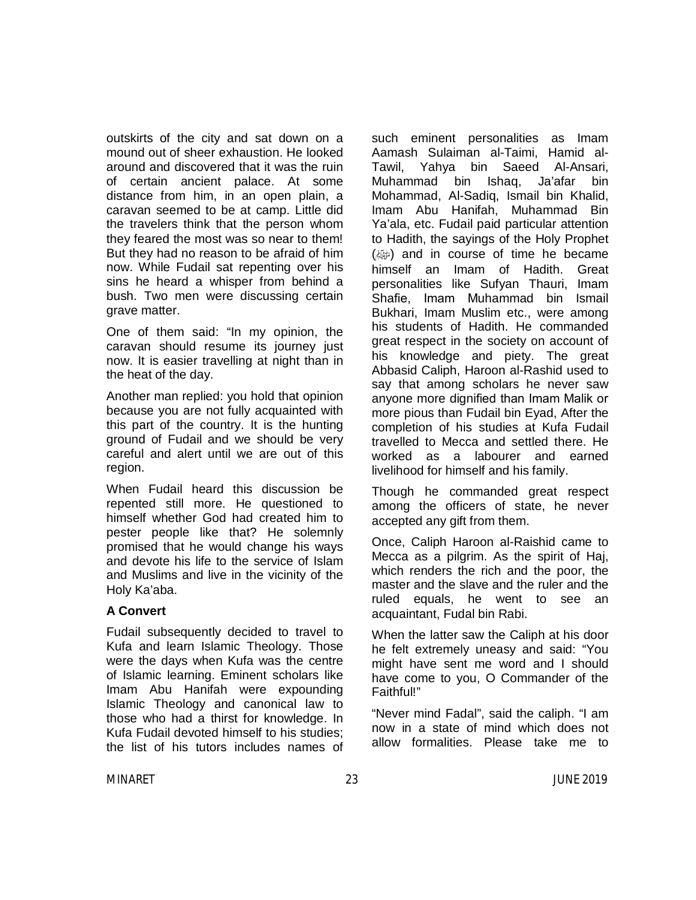outskirts of the city and sat down on a mound out of sheer exhaustion. He looked around and discovered that it was the ruin of certain ancient palace. At some distance from him, in an open plain, a caravan seemed to be at camp. Little did the travelers think that the person whom they feared the most was so near to them! But they had no reason to be afraid of him now. While Fudail sat repenting over his sins he heard a whisper from behind a bush. Two men were discussing certain grave matter.

One of them said: "In my opinion, the caravan should resume its journey just now. It is easier travelling at night than in the heat of the day.

Another man replied: you hold that opinion because you are not fully acquainted with this part of the country. It is the hunting ground of Fudail and we should be very careful and alert until we are out of this region.

When Fudail heard this discussion be repented still more. He questioned to himself whether God had created him to pester people like that? He solemnly promised that he would change his ways and devote his life to the service of Islam and Muslims and live in the vicinity of the Holy Ka'aba.

#### **A Convert**

Fudail subsequently decided to travel to Kufa and learn Islamic Theology. Those were the days when Kufa was the centre of Islamic learning. Eminent scholars like Imam Abu Hanifah were expounding Islamic Theology and canonical law to those who had a thirst for knowledge. In Kufa Fudail devoted himself to his studies; the list of his tutors includes names of such eminent personalities as Imam Aamash Sulaiman al-Taimi, Hamid al-Tawil, Yahya bin Saeed Al-Ansari, Muhammad bin Ishaq, Ja'afar bin Mohammad, Al-Sadiq, Ismail bin Khalid, Imam Abu Hanifah, Muhammad Bin Ya'ala, etc. Fudail paid particular attention to Hadith, the sayings of the Holy Prophet  $(\omega)$  and in course of time he became himself an Imam of Hadith. Great personalities like Sufyan Thauri, Imam Shafie, Imam Muhammad bin Ismail Bukhari, Imam Muslim etc., were among his students of Hadith. He commanded great respect in the society on account of his knowledge and piety. The great Abbasid Caliph, Haroon al-Rashid used to say that among scholars he never saw anyone more dignified than Imam Malik or more pious than Fudail bin Eyad, After the completion of his studies at Kufa Fudail travelled to Mecca and settled there. He worked as a labourer and earned livelihood for himself and his family.

Though he commanded great respect among the officers of state, he never accepted any gift from them.

Once, Caliph Haroon al-Raishid came to Mecca as a pilgrim. As the spirit of Haj, which renders the rich and the poor, the master and the slave and the ruler and the ruled equals, he went to see an acquaintant, Fudal bin Rabi.

When the latter saw the Caliph at his door he felt extremely uneasy and said: "You might have sent me word and I should have come to you, O Commander of the Faithful!"

"Never mind Fadal", said the caliph. "I am now in a state of mind which does not allow formalities. Please take me to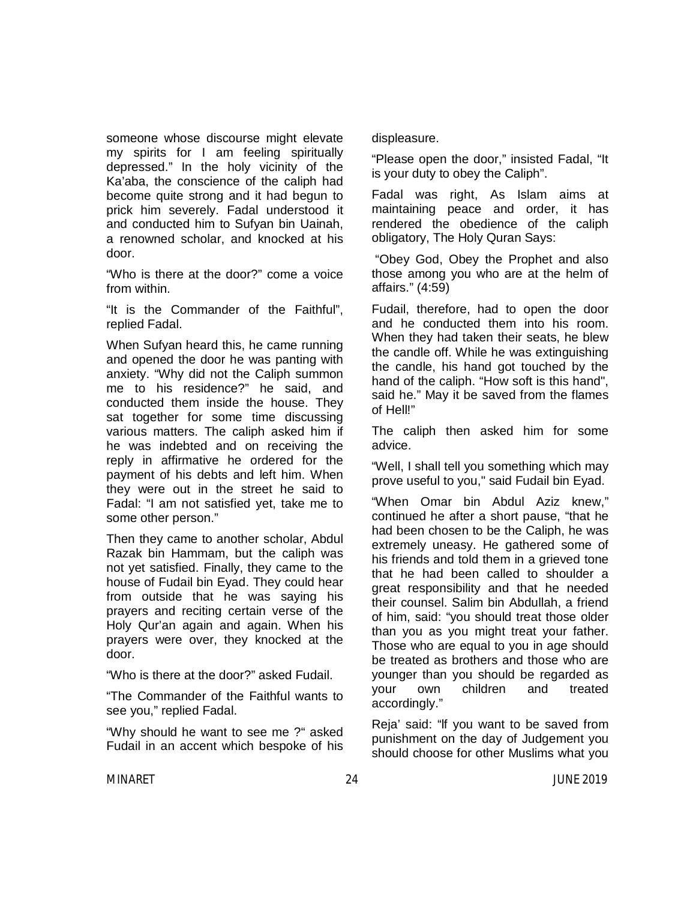someone whose discourse might elevate my spirits for I am feeling spiritually depressed." In the holy vicinity of the Ka'aba, the conscience of the caliph had become quite strong and it had begun to prick him severely. Fadal understood it and conducted him to Sufyan bin Uainah, a renowned scholar, and knocked at his door.

"Who is there at the door?" come a voice from within.

"It is the Commander of the Faithful", replied Fadal.

When Sufyan heard this, he came running and opened the door he was panting with anxiety. "Why did not the Caliph summon me to his residence?" he said, and conducted them inside the house. They sat together for some time discussing various matters. The caliph asked him if he was indebted and on receiving the reply in affirmative he ordered for the payment of his debts and left him. When they were out in the street he said to Fadal: "I am not satisfied yet, take me to some other person."

Then they came to another scholar, Abdul Razak bin Hammam, but the caliph was not yet satisfied. Finally, they came to the house of Fudail bin Eyad. They could hear from outside that he was saying his prayers and reciting certain verse of the Holy Qur'an again and again. When his prayers were over, they knocked at the door.

"Who is there at the door?" asked Fudail.

"The Commander of the Faithful wants to see you," replied Fadal.

"Why should he want to see me ?" asked Fudail in an accent which bespoke of his displeasure.

"Please open the door," insisted Fadal, "It is your duty to obey the Caliph".

Fadal was right, As Islam aims at maintaining peace and order, it has rendered the obedience of the caliph obligatory, The Holy Quran Says:

"Obey God, Obey the Prophet and also those among you who are at the helm of affairs." (4:59)

Fudail, therefore, had to open the door and he conducted them into his room. When they had taken their seats, he blew the candle off. While he was extinguishing the candle, his hand got touched by the hand of the caliph. "How soft is this hand", said he." May it be saved from the flames of Hell!"

The caliph then asked him for some advice.

"Well, I shall tell you something which may prove useful to you," said Fudail bin Eyad.

"When Omar bin Abdul Aziz knew," continued he after a short pause, "that he had been chosen to be the Caliph, he was extremely uneasy. He gathered some of his friends and told them in a grieved tone that he had been called to shoulder a great responsibility and that he needed their counsel. Salim bin Abdullah, a friend of him, said: "you should treat those older than you as you might treat your father. Those who are equal to you in age should be treated as brothers and those who are younger than you should be regarded as your own children and treated accordingly."

Reja' said: "lf you want to be saved from punishment on the day of Judgement you should choose for other Muslims what you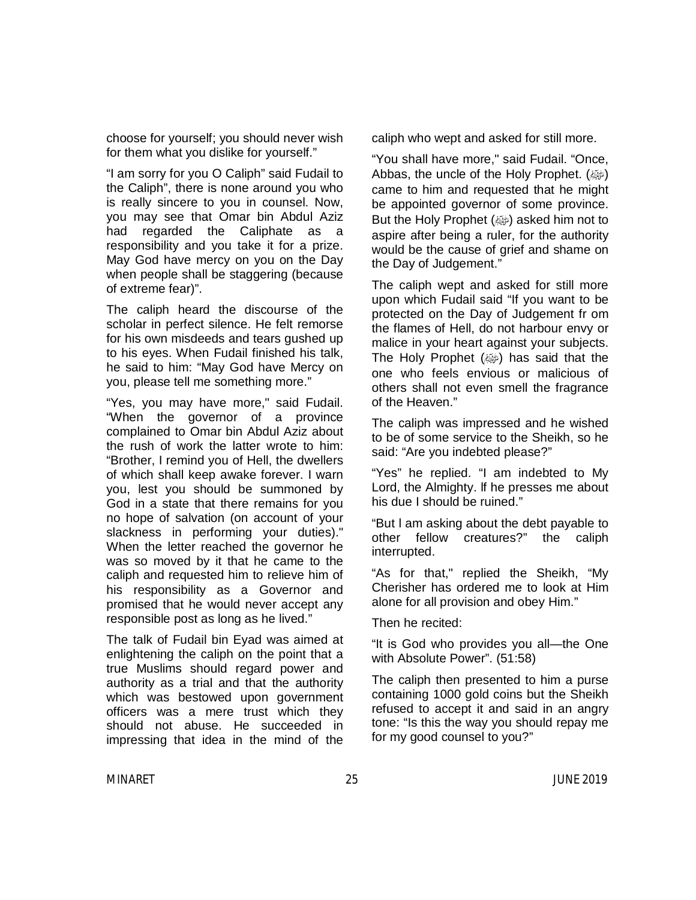choose for yourself; you should never wish for them what you dislike for yourself."

"I am sorry for you O Caliph" said Fudail to the Caliph", there is none around you who is really sincere to you in counsel. Now, you may see that Omar bin Abdul Aziz had regarded the Caliphate as a responsibility and you take it for a prize. May God have mercy on you on the Day when people shall be staggering (because of extreme fear)".

The caliph heard the discourse of the scholar in perfect silence. He felt remorse for his own misdeeds and tears gushed up to his eyes. When Fudail finished his talk, he said to him: "May God have Mercy on you, please tell me something more."

"Yes, you may have more," said Fudail. "When the governor of a province complained to Omar bin Abdul Aziz about the rush of work the latter wrote to him: "Brother, I remind you of Hell, the dwellers of which shall keep awake forever. I warn you, lest you should be summoned by God in a state that there remains for you no hope of salvation (on account of your slackness in performing your duties)." When the letter reached the governor he was so moved by it that he came to the caliph and requested him to relieve him of his responsibility as a Governor and promised that he would never accept any responsible post as long as he lived."

The talk of Fudail bin Eyad was aimed at enlightening the caliph on the point that a true Muslims should regard power and authority as a trial and that the authority which was bestowed upon government officers was a mere trust which they should not abuse. He succeeded in impressing that idea in the mind of the

caliph who wept and asked for still more.

"You shall have more," said Fudail. "Once, Abbas, the uncle of the Holy Prophet. (وَصِلَه الله came to him and requested that he might be appointed governor of some province. But the Holy Prophet (ﷺ) asked him not to aspire after being a ruler, for the authority would be the cause of grief and shame on the Day of Judgement."

The caliph wept and asked for still more upon which Fudail said "If you want to be protected on the Day of Judgement fr om the flames of Hell, do not harbour envy or malice in your heart against your subjects. The Holy Prophet (صلى ) has said that the one who feels envious or malicious of others shall not even smell the fragrance of the Heaven."

The caliph was impressed and he wished to be of some service to the Sheikh, so he said: "Are you indebted please?"

"Yes" he replied. "I am indebted to My Lord, the Almighty. lf he presses me about his due I should be ruined."

"But l am asking about the debt payable to other fellow creatures?" the caliph interrupted.

"As for that," replied the Sheikh, "My Cherisher has ordered me to look at Him alone for all provision and obey Him."

Then he recited:

"It is God who provides you all—the One with Absolute Power". (51:58)

The caliph then presented to him a purse containing 1000 gold coins but the Sheikh refused to accept it and said in an angry tone: "Is this the way you should repay me for my good counsel to you?"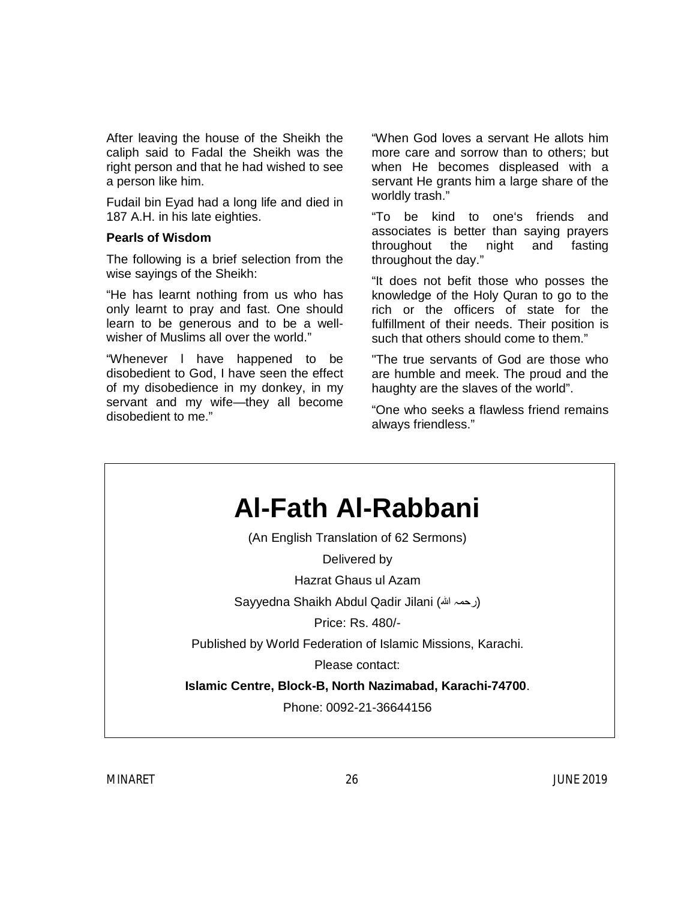After leaving the house of the Sheikh the caliph said to Fadal the Sheikh was the right person and that he had wished to see a person like him.

Fudail bin Eyad had a long life and died in 187 A.H. in his late eighties.

#### **Pearls of Wisdom**

The following is a brief selection from the wise sayings of the Sheikh:

"He has learnt nothing from us who has only learnt to pray and fast. One should learn to be generous and to be a wellwisher of Muslims all over the world."

"Whenever l have happened to be disobedient to God, I have seen the effect of my disobedience in my donkey, in my servant and my wife—they all become disobedient to me."

"When God loves a servant He allots him more care and sorrow than to others; but when He becomes displeased with a servant He grants him a large share of the worldly trash."

"To be kind to one's friends and associates is better than saying prayers throughout the night and fasting throughout the day."

"It does not befit those who posses the knowledge of the Holy Quran to go to the rich or the officers of state for the fulfillment of their needs. Their position is such that others should come to them."

"The true servants of God are those who are humble and meek. The proud and the haughty are the slaves of the world".

"One who seeks a flawless friend remains always friendless."

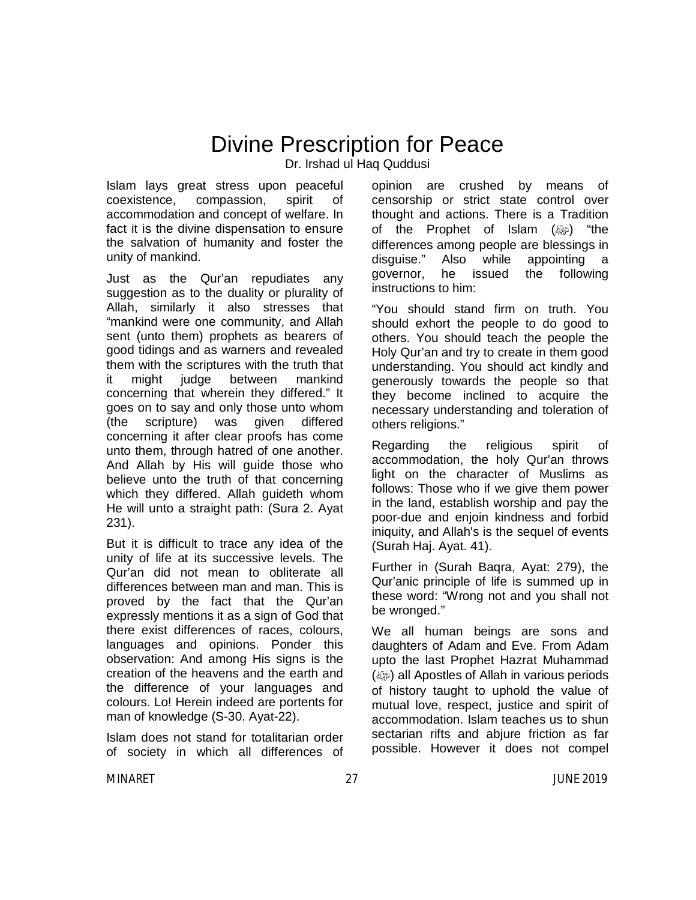### Divine Prescription for Peace

Dr. Irshad ul Haq Quddusi

Islam lays great stress upon peaceful coexistence, compassion, spirit of accommodation and concept of welfare. In fact it is the divine dispensation to ensure the salvation of humanity and foster the unity of mankind.

Just as the Qur'an repudiates any suggestion as to the duality or plurality of Allah, similarly it also stresses that "mankind were one community, and Allah sent (unto them) prophets as bearers of good tidings and as warners and revealed them with the scriptures with the truth that it might judge between mankind concerning that wherein they differed." It goes on to say and only those unto whom (the scripture) was given differed concerning it after clear proofs has come unto them, through hatred of one another. And Allah by His will guide those who believe unto the truth of that concerning which they differed. Allah guideth whom He will unto a straight path: (Sura 2. Ayat 231).

But it is difficult to trace any idea of the unity of life at its successive levels. The Qur'an did not mean to obliterate all differences between man and man. This is proved by the fact that the Qur'an expressly mentions it as a sign of God that there exist differences of races, colours, languages and opinions. Ponder this observation: And among His signs is the creation of the heavens and the earth and the difference of your languages and colours. Lo! Herein indeed are portents for man of knowledge (S-30. Ayat-22).

Islam does not stand for totalitarian order of society in which all differences of opinion are crushed by means of censorship or strict state control over thought and actions. There is a Tradition of the Prophet of Islam  $(\omega)$  "the differences among people are blessings in disguise." Also while appointing a governor, he issued the following instructions to him:

"You should stand firm on truth. You should exhort the people to do good to others. You should teach the people the Holy Qur'an and try to create in them good understanding. You should act kindly and generously towards the people so that they become inclined to acquire the necessary understanding and toleration of others religions."

Regarding the religious spirit of accommodation, the holy Qur'an throws light on the character of Muslims as follows: Those who if we give them power in the land, establish worship and pay the poor-due and enjoin kindness and forbid iniquity, and Allah's is the sequel of events (Surah Haj. Ayat. 41).

Further in (Surah Baqra, Ayat: 279), the Qur'anic principle of life is summed up in these word: "Wrong not and you shall not be wronged."

We all human beings are sons and daughters of Adam and Eve. From Adam upto the last Prophet Hazrat Muhammad (@) all Apostles of Allah in various periods of history taught to uphold the value of mutual love, respect, justice and spirit of accommodation. Islam teaches us to shun sectarian rifts and abjure friction as far possible. However it does not compel

MINARET 27 JUNE 2019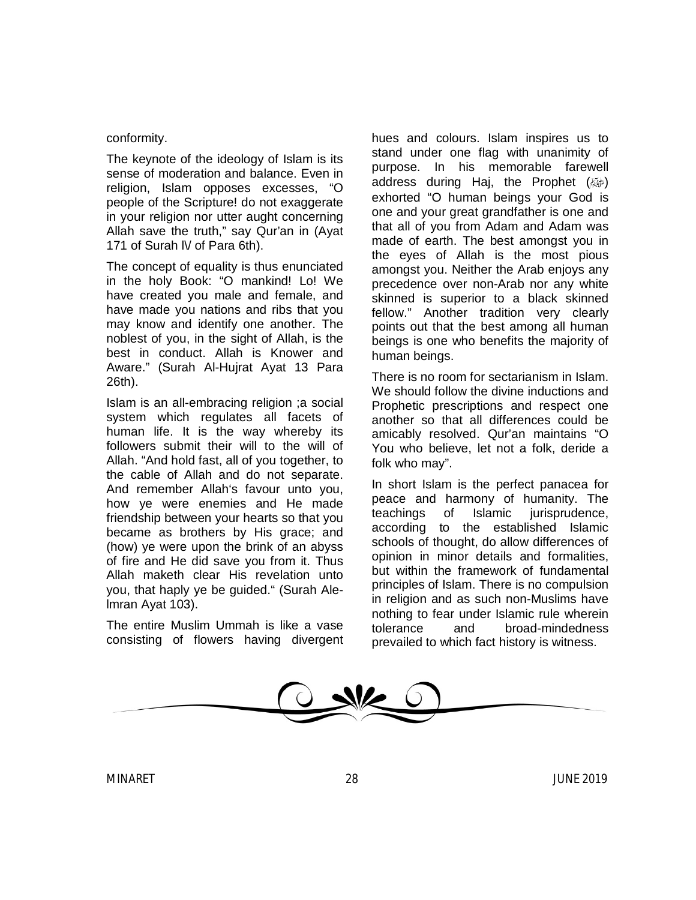#### conformity.

The keynote of the ideology of Islam is its sense of moderation and balance. Even in religion, Islam opposes excesses, "O people of the Scripture! do not exaggerate in your religion nor utter aught concerning Allah save the truth," say Qur'an in (Ayat 171 of Surah IV of Para 6th).

The concept of equality is thus enunciated in the holy Book: "O mankind! Lo! We have created you male and female, and have made you nations and ribs that you may know and identify one another. The noblest of you, in the sight of Allah, is the best in conduct. Allah is Knower and Aware." (Surah Al-Hujrat Ayat 13 Para 26th).

Islam is an all-embracing religion ;a social system which regulates all facets of human life. It is the way whereby its followers submit their will to the will of Allah. "And hold fast, all of you together, to the cable of Allah and do not separate. And remember Allah's favour unto you, how ye were enemies and He made friendship between your hearts so that you became as brothers by His grace; and (how) ye were upon the brink of an abyss of fire and He did save you from it. Thus Allah maketh clear His revelation unto you, that haply ye be guided." (Surah Alelmran Ayat 103).

The entire Muslim Ummah is like a vase consisting of flowers having divergent hues and colours. Islam inspires us to stand under one flag with unanimity of purpose. In his memorable farewell address during Haj, the Prophet  $(\omega)$ exhorted "O human beings your God is one and your great grandfather is one and that all of you from Adam and Adam was made of earth. The best amongst you in the eyes of Allah is the most pious amongst you. Neither the Arab enjoys any precedence over non-Arab nor any white skinned is superior to a black skinned fellow." Another tradition very clearly points out that the best among all human beings is one who benefits the majority of human beings.

There is no room for sectarianism in Islam. We should follow the divine inductions and Prophetic prescriptions and respect one another so that all differences could be amicably resolved. Qur'an maintains "O You who believe, let not a folk, deride a folk who may".

In short Islam is the perfect panacea for peace and harmony of humanity. The teachings of Islamic jurisprudence, according to the established Islamic schools of thought, do allow differences of opinion in minor details and formalities, but within the framework of fundamental principles of Islam. There is no compulsion in religion and as such non-Muslims have nothing to fear under Islamic rule wherein tolerance and broad-mindedness prevailed to which fact history is witness.

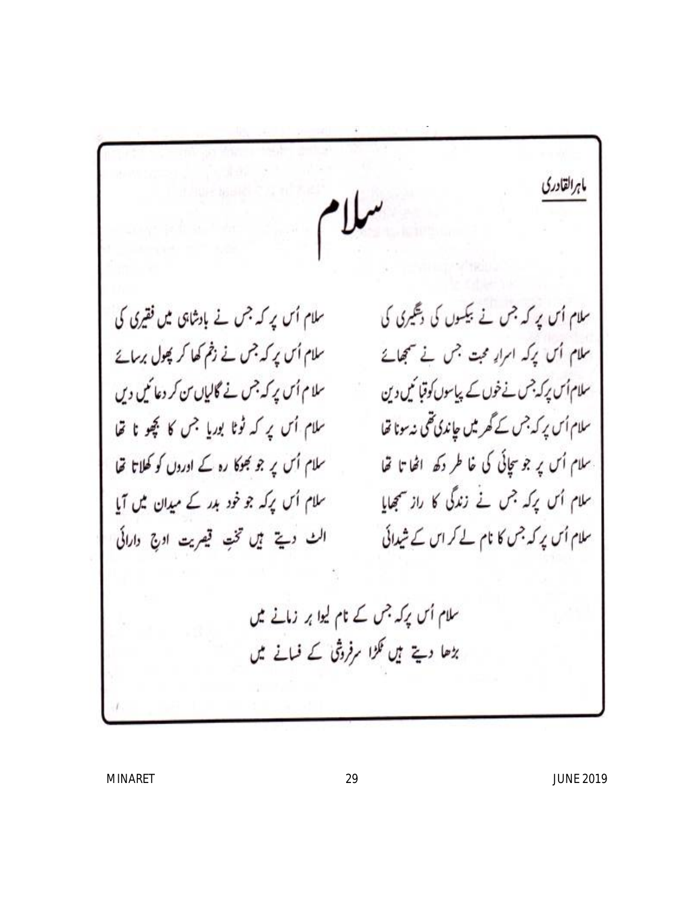ماهرالقادري سلام اُس پر کہ جس نے بیکسوں کی دیگیری کی سلام اُس پر کہ جس نے بادشاہی میں فقیری کی سلام اُس پر کہ جس نے زخم کھا کر پھول برسائے ملام اُس برکہ امرار مجت جس نے سمجھاتے سلام اُس پر کہ جس نے گالیاں من کر دعائیں دیں سلام اُس پرکہ جس نے خوں کے پیاسوں کوقبا کمیں دین سلام اُس پر کہ ٹوٹا بوریا جس کا کچھو نا تھا سلام اُس پر کہ جس کے گھر میں چاندی تھی نہ سونا تھا سلام اُس پر جو سچائی کی خاطر دکھ اٹھا تا تھا سلام اُس پر جو بھوکا رہ کے اوروں کو کھلاتا تھا سلام اُس پرکہ جس نے زندگی کا راز سمجھایا سلام اُس پرکہ جو خود ہدر کے میدان میں آیا سلام اُس پر کہ جس کا نام لے کر اس کے شیدائی الث ديت مين تخت قيريت اوج دارائي سلام اُس پرکہ جس کے نام لیوا پر زمانے میں بڑھا دیتے ہیں نکڑا سرفروشی کے فسانے میں

MINARET 29 JUNE 2019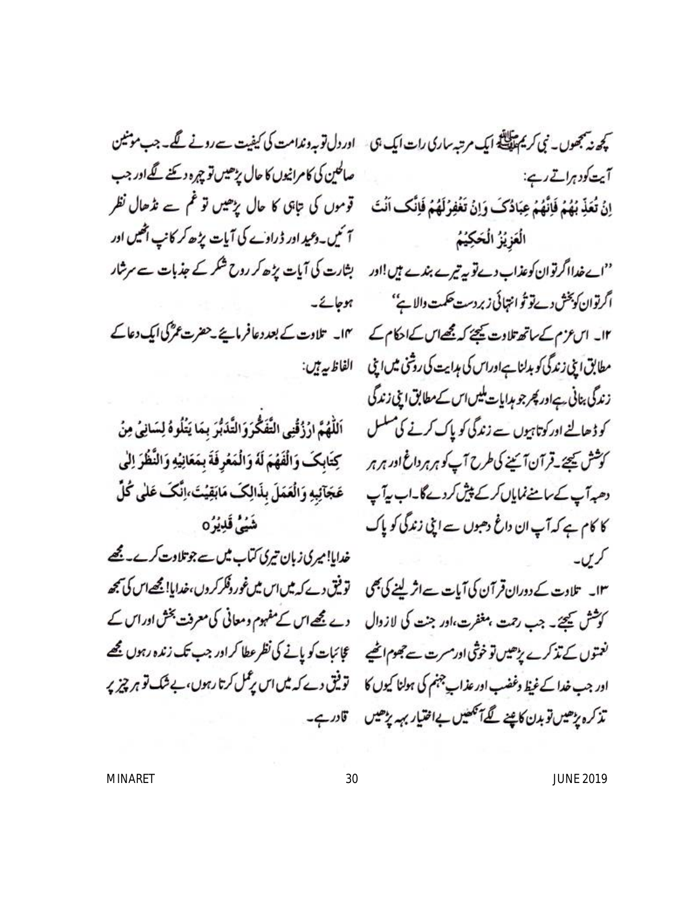صالحین کی کامرانیوں کا حال پڑھیں تو چرہ دیئے گےاور جب آئیں۔دعید اور ڈراوے کی آیات پڑھ کر کانپ اٹھیں اور ہوجائے۔ ۱۴۔ تلاوت کے بعد دعافر مانیے ۔حضرت عمرؓ کی ایک دعا کے الفاظ بيرتيں:

اللَّهُمَّ ارُزُقْنِي التَّفَكُّرَوَالتَّدَبُّرَ بِمَا يَتُلُوهُ لِسَانِيٌ مِنْ كِتَابِكَ وَالْفَهُمَ لَهُ وَالْمَعْرِفَةَ بِمَعَانِيُهِ وَالنَّظُرَ اِلْي عَجَآئِبِهِ وَالْعَمَلَ بِذَالِكَ مَابَقِيْتَ،إنَّكَ عَلَى كُلِّ شَهُلُّ قَلِيْرُهِ

خدایا!میری زبان تیری کتاب میں سے جوتلاوت کرے۔ مجھے ۱۳۔ تلاوت کے دوران قرآن کی آیات ہےاثر لینے کی بھی ۔ توثیق دے کہ میں اس میں غور دفکر کروں،خدایا! مجھےاس کی بجھ

کچھ نہ پنجھوں۔ نبی کریم پیچلنڈ ایک مرتبہ ساری رات ایک ہی ۔ اور دل تو بہ وندامت کی کیفیت سے رونے گھ۔ جب مونٹین آیت کودہراتے رہے: اِنُ تُعَذِّ بُهُمْ فَإِنَّهُمْ عِبَادُكَ وَإِنْ تَغْفِرُكَهُمْ فَإِنَّكَ أَنْتَ ۚ قَوْمُوں کی تابق کا حال پڑھیں تو قم سے نڈھال نظر الُعَوْيُزُ الْحَكِيْمُ ''اےخدااگر توان کوعذاب دے تو پہ تیرے بندے ہیں!اور ہشارت کی آیات پڑھ کر روح شکر کے جذبات سے سرشار اگرتوان كوپخش دےتو تُو انتہائی زبر دست حكمت والا ہے'' ١٢۔ اس عزم کے ساتھ تلاوت کیجئے کہ مجھے اس کے احکام کے مطابق ایلی زندگی کو بدلنا ہےاوراس کی ہدایت کی روشی میں اپنی زندگی بنانی ہےاور پھر جو ہدایات بلیں اس کے مطابق اپنی زندگی کو ڈھالنے اور کوتاہیوں سے زندگی کو پاک کرنے کی مسلسل کوشش کیجئے۔قرآن آئینے کی طرح آپ کو ہر ہر داغ اور ہر ہر دھہ آپ کے سامنے نمایاں کر کے پیش کردے گا۔اب یہ آپ کا کام ہے کہ آپ ان داغ دھبوں سے اپنی زندگی کو پاک کریں۔

کوشش کیجئے۔ جب رحمت ہعظرت،اور جنت کی لازوال ہے مجھےاس کے مفہوم ومعانی کی معرفت بخش اوراس کے نغتوں کے تذکرے پڑھیں تو خوشی اورمسرت سے جھوم اٹھیے عجائبات کو پانے کی نظر عطا کر اور جب تک زندہ رہوں مجھے اور جب خدا کے غیظ وغضب اور عذاب چہنم کی ہولنا کیوں کا توفیق دے کہ میں اس پرعمل کرتا رہوں، بے شک تو ہر چیز پر تذکرہ پڑھیں توبدن کاپنے گےآ تکھیں بےاختیار بہہ پڑھیں تادرہے۔

MINARET 30 JUNE 2019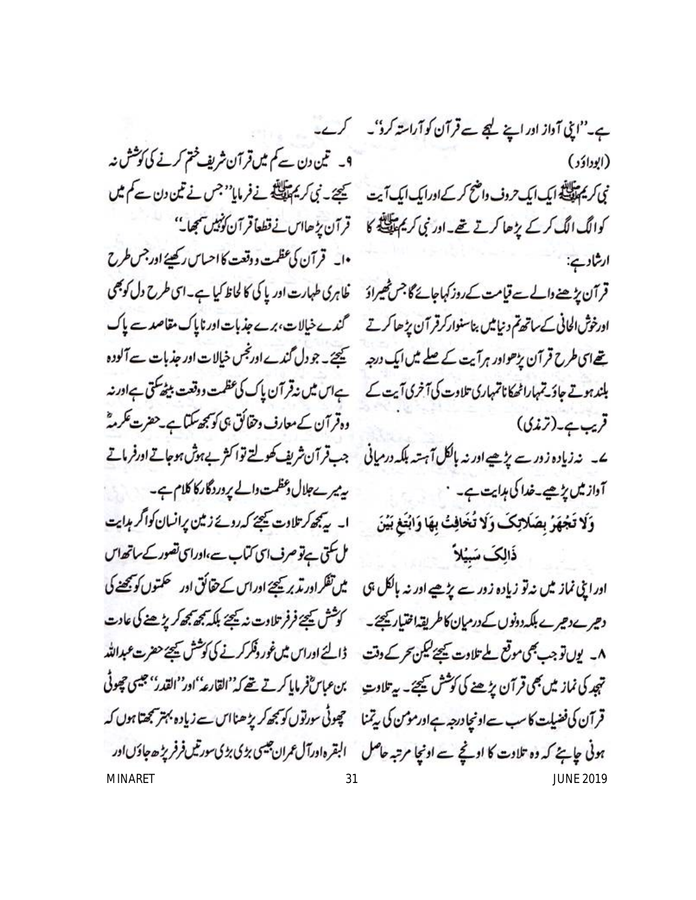9۔ تین دن سے کم میں قرآن شریف ختم کرنے کی کوشش نہ نی کریم پیلانی ایک ایک حروف واضح کرکے اورایک ایک آیت میچنے۔ نی کریم پیلانی نے فرمایا''جس نے تین دن سے کم میں •ا\_ قرآن كى عظمت ووقعت كااحساس ركھيئے اور جس طرح قرآن پڑھنے دالے سے قیامت کے روز کہاجائے گا جس ٹھیراؤ غاہری طہارت اور پا کی کا لحاظ کیا ہے۔ای طرح دل کو بھی اورخوش الحانی کے ساتھ تم دنیامیں بناسنوارکرقر آن پڑھاکرتے گندے خیالات، برے جذبات اور ناپاک مقاصد سے پاک تھےای طرح قرآن پڑھواور ہرآیت کے صلے میں ایک درجہ کیچئے۔ جو دل گندے اورنجس خیالات اور جذبات ہے آلودہ بلند ہوتے جاؤتے ہلاراٹھکاناتمہاری تلاوت کی آخری آیت کے ہے اس میں نیقر آن پاک کی عظمت ووقعت بیٹھ کتی ہےاورنہ وہ قرآن کے معارف دحقائق ہی کو سمجھ سکتا ہے۔حضرت عکرمہؓ ے۔ نہ زیادہ زورے پڑھیے اور نہ ہالکل آہتیہ بلکہ درمیانی ہب قرآن شریف کھولتے تواکثر بےہوش ہوجاتے اورفرماتے بہ میرےجلال دعظمت دالے پر دردگار کا کلام ہے۔ ا۔ پہنچھ کرتلاوت کیچئے کہ روپے زمین پرانسان کواگر ہدایت مل کتی ہےتو صرف ای کتاب سے،اورای تصور کے ساتھ اس اورا پی نماز میں نہ تو زیادہ زور سے پڑھیے اور نہ ہالکل ہی میں تفکراور تدبر کیجئے اوراس کے حقائق اور حکمتوں کو بچھنے کی دھیرےدھیرے بلکہ دونوں کے درمیان کاطریقہا فتیار کیجئے۔ کوشش کیجئے فرفر تلاوت نہ کیجئے بلکہ بھی بھی کرپڑھنے کی عادت ۸۔ یوں تو جب بھی موقع ملے تلاوت کیجئے لیکن تحر کے وقت ہ ڈالئے اوراس میں غور وفکر کرنے کی کوشش کیجئے حضرت عبداللہ تہجد کی نماز میں بھی قرآن پڑھنے کی کوشش کیجئے۔ پی<sup>ہلاو</sup>ت بن عباسؓفر مایا کرتے تھے کہ''القارعہُ''اور''القدر'' جیسی حچوٹی قر آن کی فضیلت کا سب سےاونچا درجہ ہےاورموس کی بی<sup>تمن</sup>ا مچھوٹی سورتوں کو بجھ کر پڑھنااس سے زیادہ بہتر بمجھتا ہوں کہ ہونی جاہئے کہ وہ تلاوت کا اونچے سے اونچا مرتبہ حاصل گلبقرہاورآل عمران جیسی بڑی بڑی سورتیںفرفر پڑھ جاؤںاور

ہے۔"اپی آداز اور اپنے لیجے تے قرآن کو آراستہ کرو"۔ کرے۔ (ابوداؤد) کوالگ الگ کر کے پڑھا کرتے تھے۔اور نبی کریم اللہ کا قرآن پڑھااس نے قطعاً قرآن کوئبیں سمجھا۔'' ارشاد ہے: قریب ہے۔(ترندی) آداز میں یڑھیے۔خدا کی ہدایت ہے۔ ` وَلَا تَجْهَرُ بِصَلَاتِكَ وَلَا تُخَافِتُ بِهَا وَابْتَغِ بَيْنَ ذَالِكَ سَبِيُلاً

MINARET 31 JUNE 2019